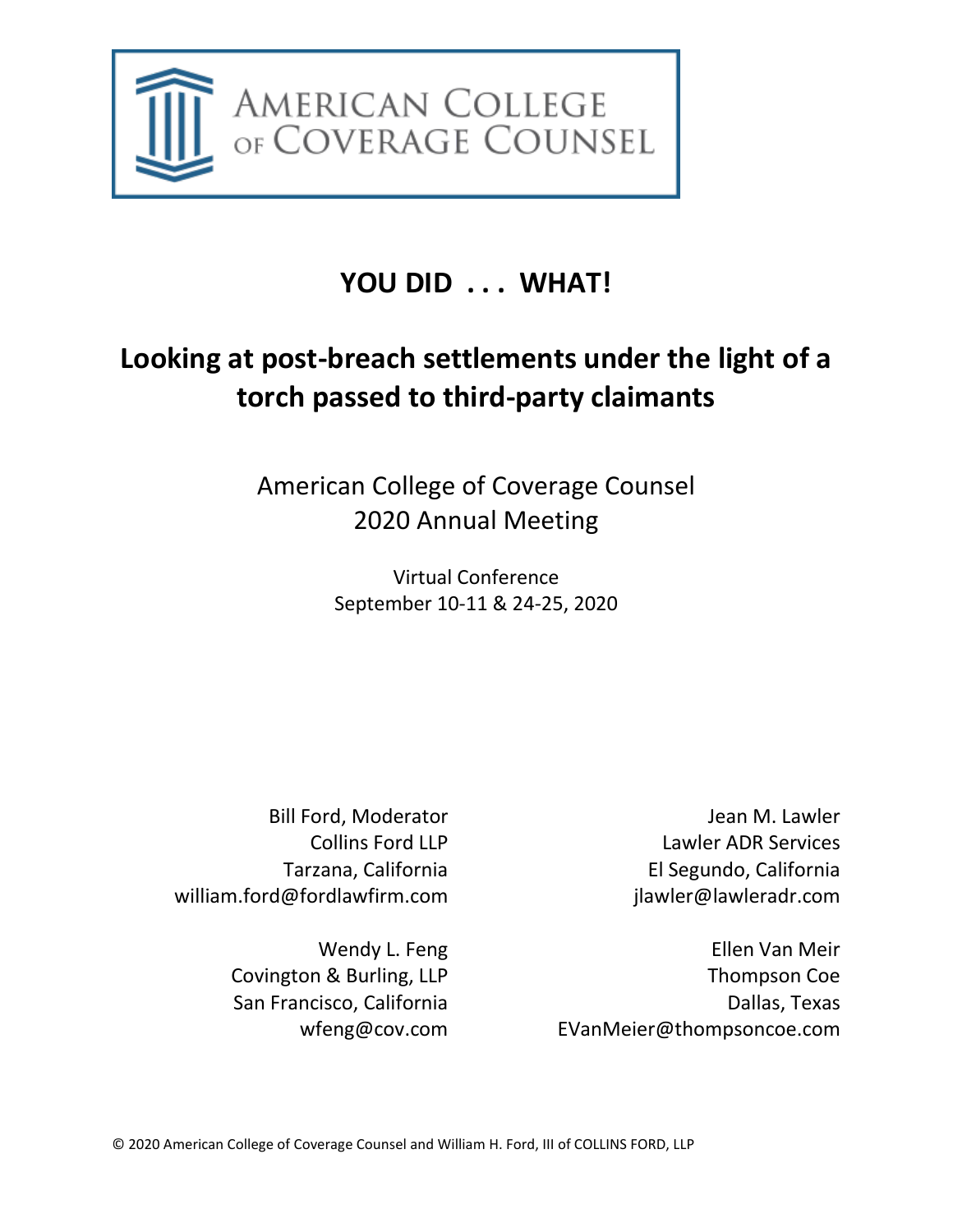

# **YOU DID . . . WHAT!**

# **Looking at post-breach settlements under the light of a torch passed to third-party claimants**

American College of Coverage Counsel 2020 Annual Meeting

> Virtual Conference September 10-11 & 24-25, 2020

Bill Ford, Moderator Collins Ford LLP Tarzana, California william.ford@fordlawfirm.com

> Wendy L. Feng Covington & Burling, LLP San Francisco, California [wfeng@cov.com](mailto:wfeng@cov.com)

Jean M. Lawler Lawler ADR Services El Segundo, California jlawler@lawleradr.com

Ellen Van Meir Thompson Coe Dallas, Texas [EVanMeier@thompsoncoe.com](mailto:EVanMeier@thompsoncoe.com)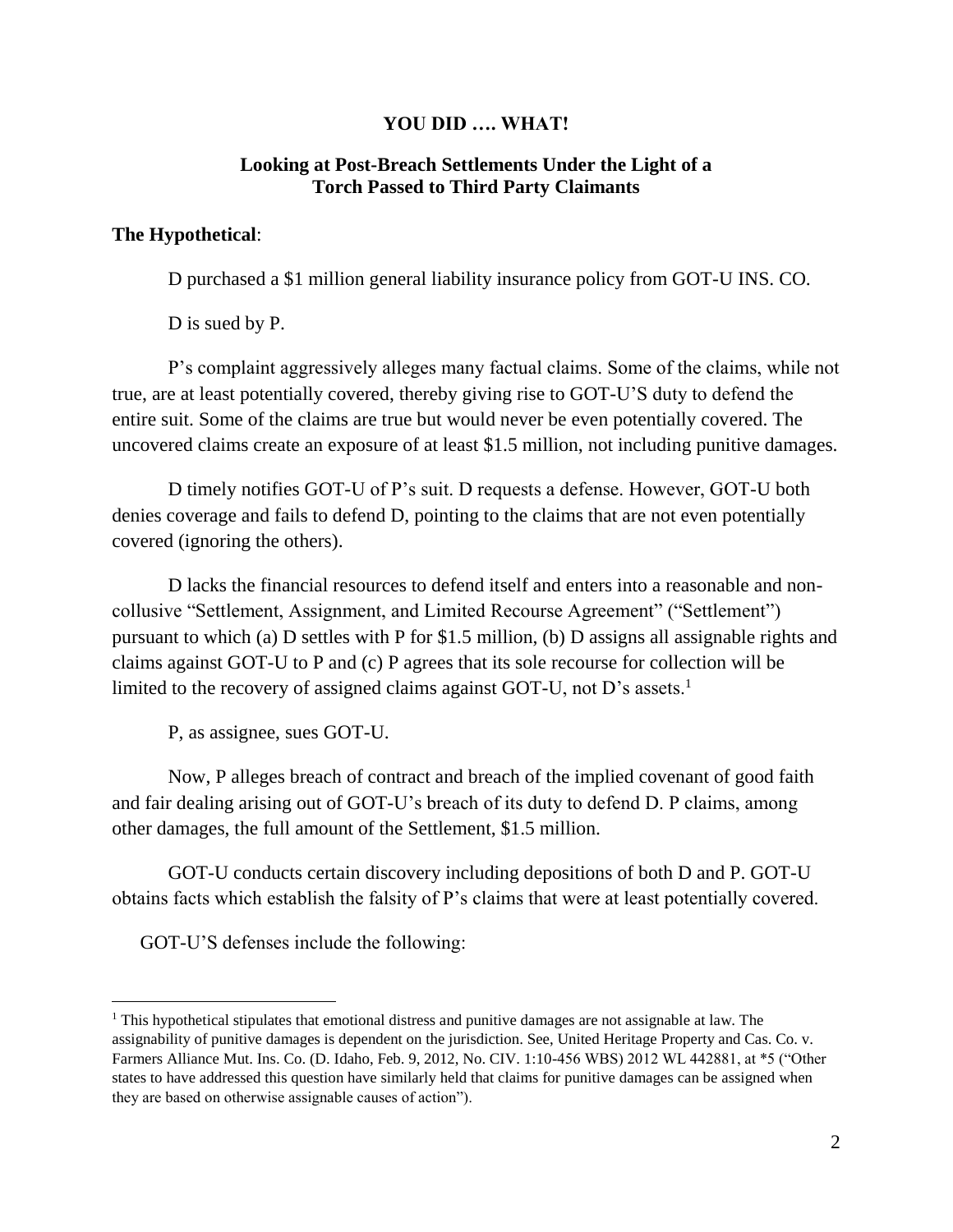#### **YOU DID …. WHAT!**

#### **Looking at Post-Breach Settlements Under the Light of a Torch Passed to Third Party Claimants**

#### **The Hypothetical**:

D purchased a \$1 million general liability insurance policy from GOT-U INS. CO.

D is sued by P.

P's complaint aggressively alleges many factual claims. Some of the claims, while not true, are at least potentially covered, thereby giving rise to GOT-U'S duty to defend the entire suit. Some of the claims are true but would never be even potentially covered. The uncovered claims create an exposure of at least \$1.5 million, not including punitive damages.

D timely notifies GOT-U of P's suit. D requests a defense. However, GOT-U both denies coverage and fails to defend D, pointing to the claims that are not even potentially covered (ignoring the others).

D lacks the financial resources to defend itself and enters into a reasonable and noncollusive "Settlement, Assignment, and Limited Recourse Agreement" ("Settlement") pursuant to which (a) D settles with P for \$1.5 million, (b) D assigns all assignable rights and claims against GOT-U to P and (c) P agrees that its sole recourse for collection will be limited to the recovery of assigned claims against GOT-U, not D's assets.<sup>1</sup>

P, as assignee, sues GOT-U.

Now, P alleges breach of contract and breach of the implied covenant of good faith and fair dealing arising out of GOT-U's breach of its duty to defend D. P claims, among other damages, the full amount of the Settlement, \$1.5 million.

GOT-U conducts certain discovery including depositions of both D and P. GOT-U obtains facts which establish the falsity of P's claims that were at least potentially covered.

GOT-U'S defenses include the following:

<sup>&</sup>lt;sup>1</sup> This hypothetical stipulates that emotional distress and punitive damages are not assignable at law. The assignability of punitive damages is dependent on the jurisdiction. See, United Heritage Property and Cas. Co. v. Farmers Alliance Mut. Ins. Co. (D. Idaho, Feb. 9, 2012, No. CIV. 1:10-456 WBS) 2012 WL 442881, at \*5 ("Other states to have addressed this question have similarly held that claims for punitive damages can be assigned when they are based on otherwise assignable causes of action").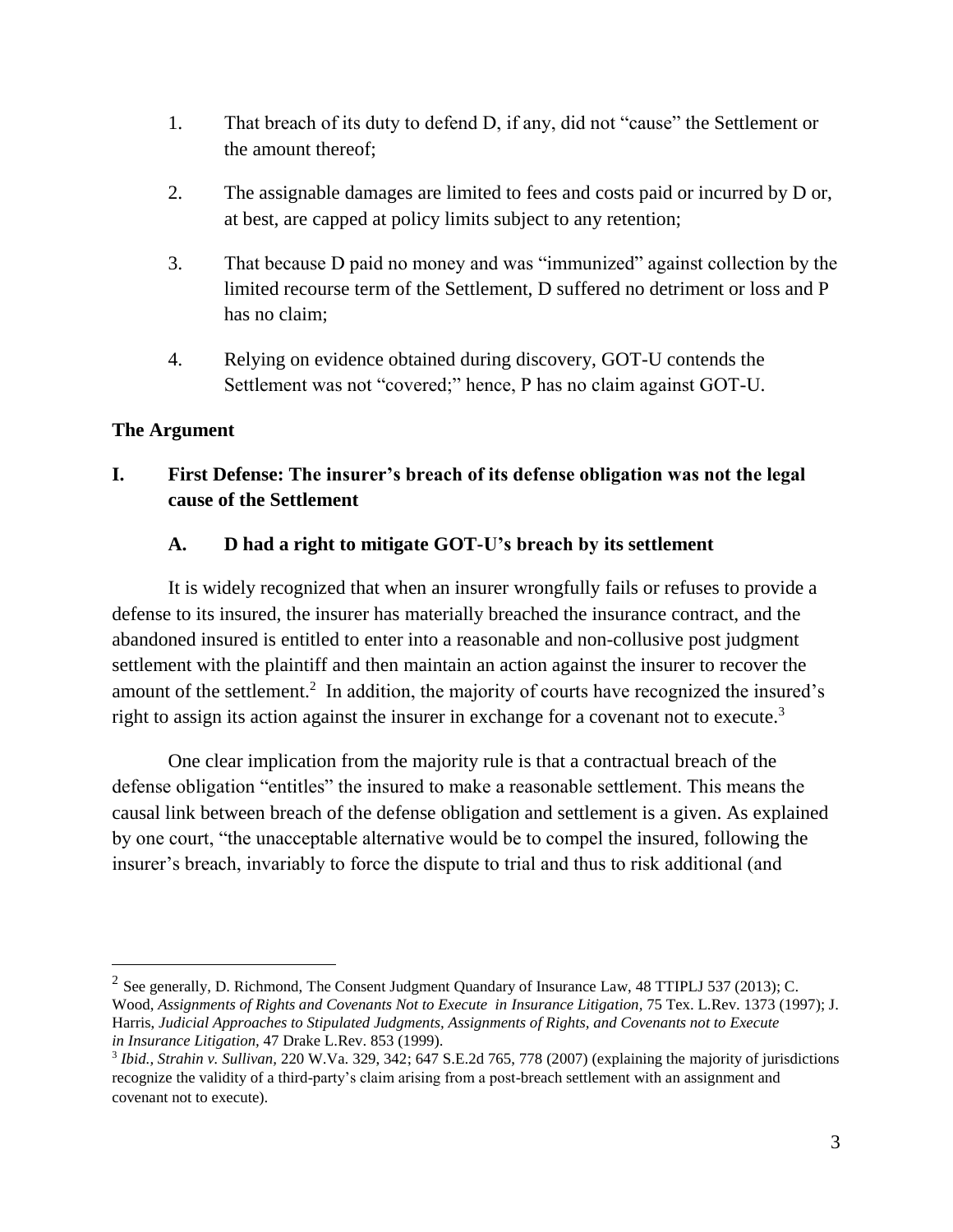- 1. That breach of its duty to defend D, if any, did not "cause" the Settlement or the amount thereof;
- 2. The assignable damages are limited to fees and costs paid or incurred by D or, at best, are capped at policy limits subject to any retention;
- 3. That because D paid no money and was "immunized" against collection by the limited recourse term of the Settlement, D suffered no detriment or loss and P has no claim;
- 4. Relying on evidence obtained during discovery, GOT-U contends the Settlement was not "covered;" hence, P has no claim against GOT-U.

#### **The Argument**

## **I. First Defense: The insurer's breach of its defense obligation was not the legal cause of the Settlement**

#### **A. D had a right to mitigate GOT-U's breach by its settlement**

It is widely recognized that when an insurer wrongfully fails or refuses to provide a defense to its insured, the insurer has materially breached the insurance contract, and the abandoned insured is entitled to enter into a reasonable and non-collusive post judgment settlement with the plaintiff and then maintain an action against the insurer to recover the amount of the settlement.<sup>2</sup> In addition, the majority of courts have recognized the insured's right to assign its action against the insurer in exchange for a covenant not to execute.<sup>3</sup>

One clear implication from the majority rule is that a contractual breach of the defense obligation "entitles" the insured to make a reasonable settlement. This means the causal link between breach of the defense obligation and settlement is a given. As explained by one court, "the unacceptable alternative would be to compel the insured, following the insurer's breach, invariably to force the dispute to trial and thus to risk additional (and

<sup>&</sup>lt;sup>2</sup> See generally, D. Richmond, The Consent Judgment Quandary of Insurance Law, 48 TTIPLJ 537 (2013); C. Wood, *Assignments of Rights and Covenants Not to Execute in Insurance Litigation,* 75 Tex. L.Rev. 1373 (1997); J. Harris, *Judicial Approaches to Stipulated Judgments, Assignments of Rights, and Covenants not to Execute in Insurance Litigation,* 47 Drake L.Rev. 853 (1999).

<sup>3</sup> *Ibid., Strahin v. Sullivan,* 220 W.Va. 329, 342; 647 S.E.2d 765, 778 (2007) (explaining the majority of jurisdictions recognize the validity of a third-party's claim arising from a post-breach settlement with an assignment and covenant not to execute).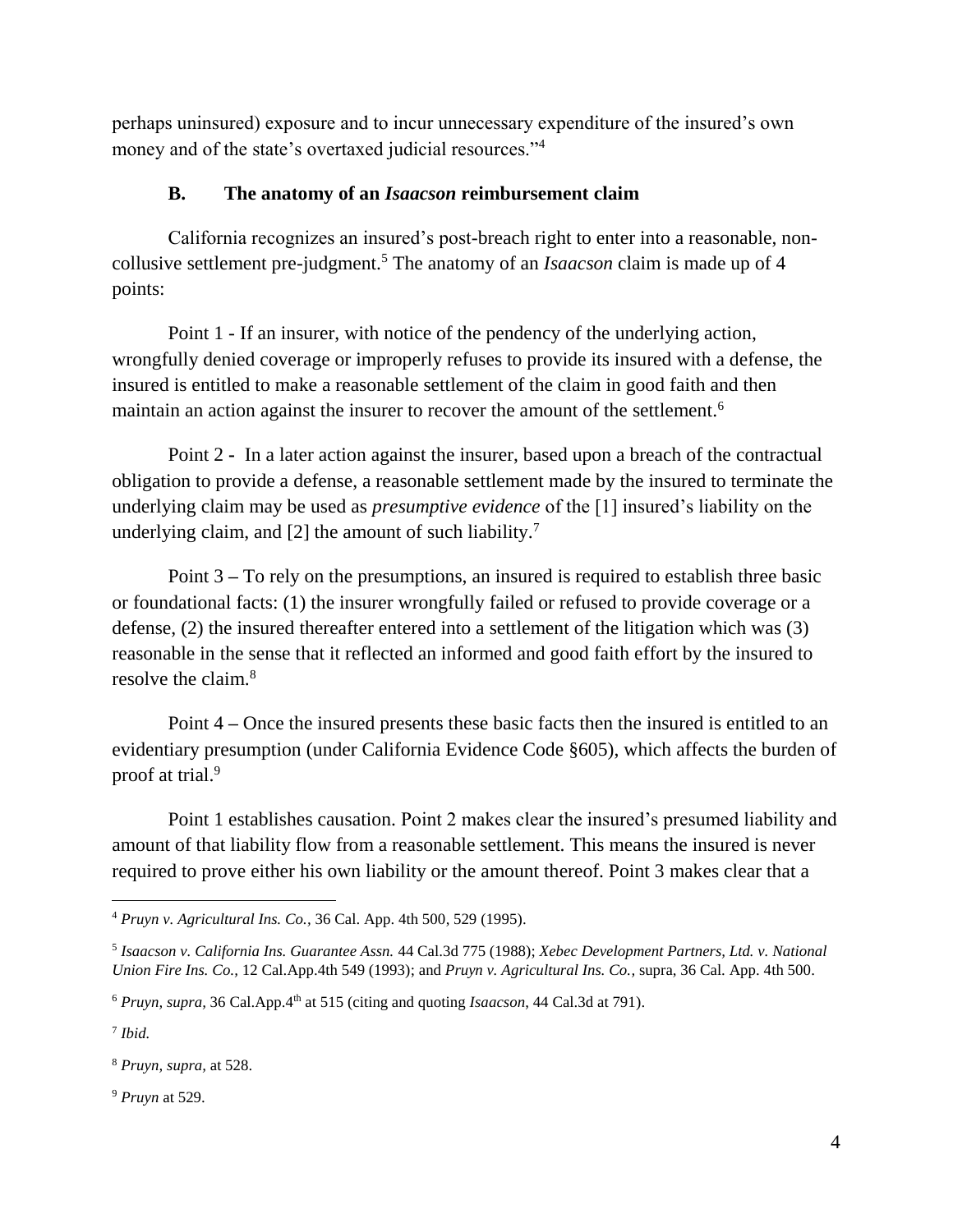perhaps uninsured) exposure and to incur unnecessary expenditure of the insured's own money and of the state's overtaxed judicial resources."<sup>4</sup>

#### **B. The anatomy of an** *Isaacson* **reimbursement claim**

California recognizes an insured's post-breach right to enter into a reasonable, noncollusive settlement pre-judgment.<sup>5</sup> The anatomy of an *Isaacson* claim is made up of 4 points:

Point 1 - If an insurer, with notice of the pendency of the underlying action, wrongfully denied coverage or improperly refuses to provide its insured with a defense, the insured is entitled to make a reasonable settlement of the claim in good faith and then maintain an action against the insurer to recover the amount of the settlement.<sup>6</sup>

Point 2 **-** In a later action against the insurer, based upon a breach of the contractual obligation to provide a defense, a reasonable settlement made by the insured to terminate the underlying claim may be used as *presumptive evidence* of the [1] insured's liability on the underlying claim, and [2] the amount of such liability.<sup>7</sup>

Point 3 **–** To rely on the presumptions, an insured is required to establish three basic or foundational facts: (1) the insurer wrongfully failed or refused to provide coverage or a defense, (2) the insured thereafter entered into a settlement of the litigation which was (3) reasonable in the sense that it reflected an informed and good faith effort by the insured to resolve the claim.<sup>8</sup>

Point 4 **–** Once the insured presents these basic facts then the insured is entitled to an evidentiary presumption (under California Evidence Code §605), which affects the burden of proof at trial.<sup>9</sup>

Point 1 establishes causation. Point 2 makes clear the insured's presumed liability and amount of that liability flow from a reasonable settlement. This means the insured is never required to prove either his own liability or the amount thereof. Point 3 makes clear that a

<sup>9</sup> *Pruyn* at 529.

 <sup>4</sup> *Pruyn v. Agricultural Ins. Co.,* 36 Cal. App. 4th 500, 529 (1995).

<sup>5</sup> *Isaacson v. California Ins. Guarantee Assn.* 44 Cal.3d 775 (1988); *Xebec Development Partners, Ltd. v. National Union Fire Ins. Co.,* 12 Cal.App.4th 549 (1993); and *Pruyn v. Agricultural Ins. Co.,* supra, 36 Cal. App. 4th 500.

<sup>6</sup> *Pruyn, supra,* 36 Cal.App.4th at 515 (citing and quoting *Isaacson*, 44 Cal.3d at 791).

<sup>7</sup> *Ibid.*

<sup>8</sup> *Pruyn, supra,* at 528.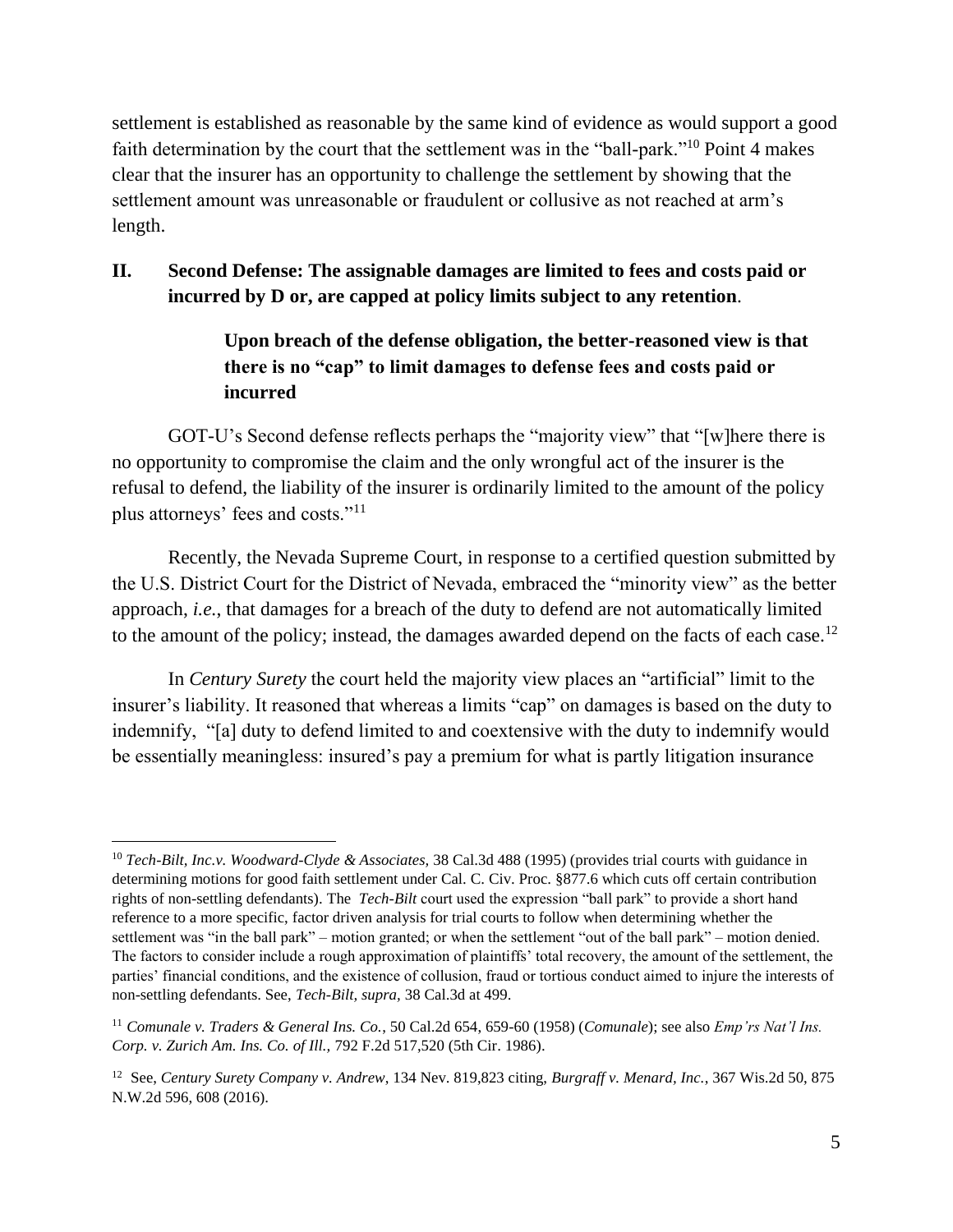settlement is established as reasonable by the same kind of evidence as would support a good faith determination by the court that the settlement was in the "ball-park."<sup>10</sup> Point 4 makes clear that the insurer has an opportunity to challenge the settlement by showing that the settlement amount was unreasonable or fraudulent or collusive as not reached at arm's length.

#### **II. Second Defense: The assignable damages are limited to fees and costs paid or incurred by D or, are capped at policy limits subject to any retention**.

## **Upon breach of the defense obligation, the better-reasoned view is that there is no "cap" to limit damages to defense fees and costs paid or incurred**

GOT-U's Second defense reflects perhaps the "majority view" that "[w]here there is no opportunity to compromise the claim and the only wrongful act of the insurer is the refusal to defend, the liability of the insurer is ordinarily limited to the amount of the policy plus attorneys' fees and costs."<sup>11</sup>

Recently, the Nevada Supreme Court, in response to a certified question submitted by the U.S. District Court for the District of Nevada, embraced the "minority view" as the better approach, *i.e.*, that damages for a breach of the duty to defend are not automatically limited to the amount of the policy; instead, the damages awarded depend on the facts of each case.<sup>12</sup>

In *Century Surety* the court held the majority view places an "artificial" limit to the insurer's liability. It reasoned that whereas a limits "cap" on damages is based on the duty to indemnify, "[a] duty to defend limited to and coextensive with the duty to indemnify would be essentially meaningless: insured's pay a premium for what is partly litigation insurance

 $\overline{a}$ 

<sup>10</sup> *Tech-Bilt, Inc.v. Woodward-Clyde & Associates,* 38 Cal.3d 488 (1995) (provides trial courts with guidance in determining motions for good faith settlement under Cal. C. Civ. Proc. §877.6 which cuts off certain contribution rights of non-settling defendants). The *Tech-Bilt* court used the expression "ball park" to provide a short hand reference to a more specific, factor driven analysis for trial courts to follow when determining whether the settlement was "in the ball park" – motion granted; or when the settlement "out of the ball park" – motion denied. The factors to consider include a rough approximation of plaintiffs' total recovery, the amount of the settlement, the parties' financial conditions, and the existence of collusion, fraud or tortious conduct aimed to injure the interests of non-settling defendants. See, *Tech-Bilt, supra,* 38 Cal.3d at 499.

<sup>11</sup> *Comunale v. Traders & General Ins. Co.*, 50 Cal.2d 654, 659-60 (1958) (*Comunale*); see also *Emp'rs Nat'l Ins. Corp. v. Zurich Am. Ins. Co. of Ill.,* 792 F.2d 517,520 (5th Cir. 1986).

<sup>12</sup> See, *Century Surety Company v. Andrew*, 134 Nev. 819,823 citing, *Burgraff v. Menard, Inc.*, 367 Wis.2d 50, 875 N.W.2d 596, 608 (2016).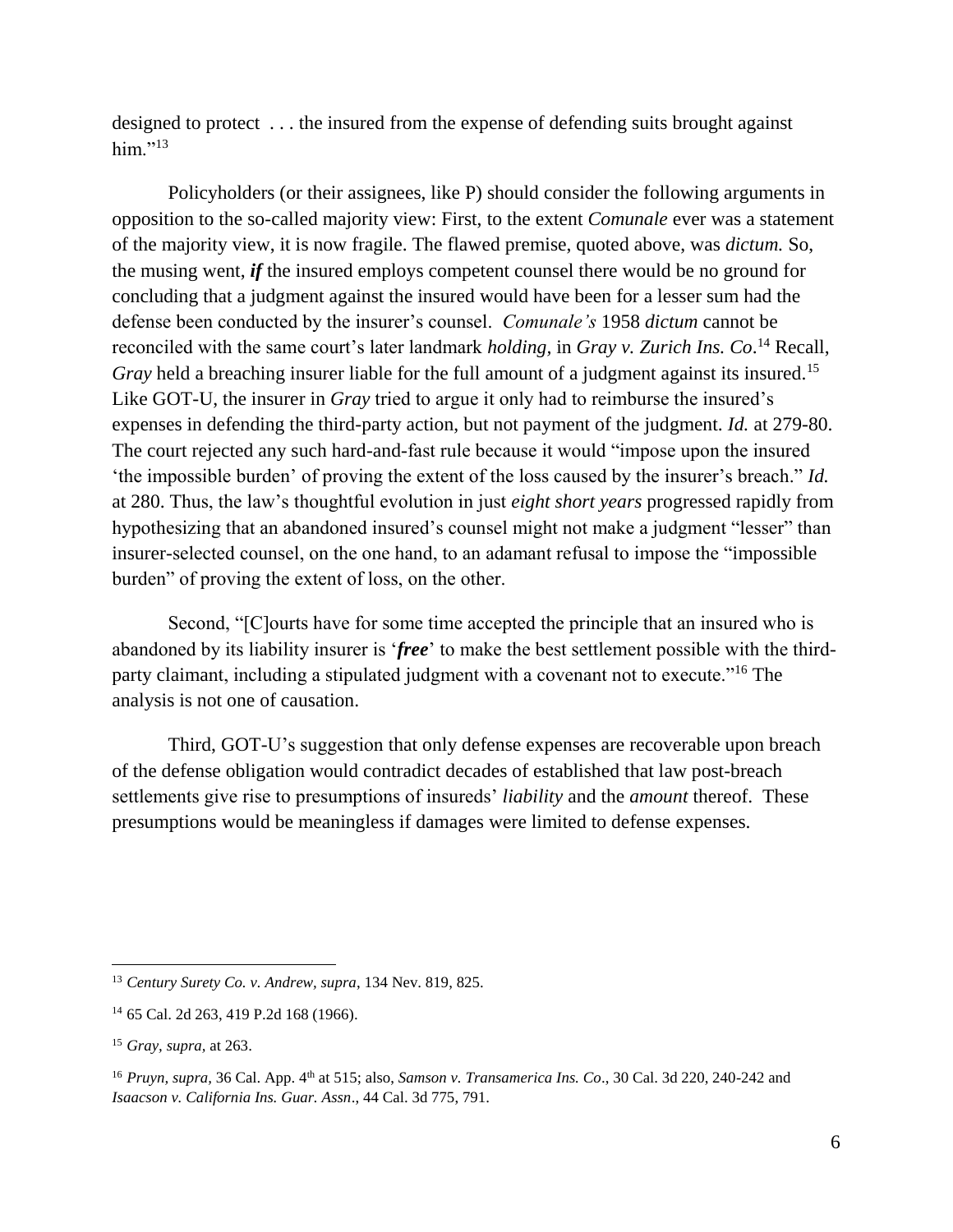designed to protect . . . the insured from the expense of defending suits brought against him." $^{13}$ 

Policyholders (or their assignees, like P) should consider the following arguments in opposition to the so-called majority view: First, to the extent *Comunale* ever was a statement of the majority view, it is now fragile. The flawed premise, quoted above, was *dictum.* So, the musing went, *if* the insured employs competent counsel there would be no ground for concluding that a judgment against the insured would have been for a lesser sum had the defense been conducted by the insurer's counsel. *Comunale's* 1958 *dictum* cannot be reconciled with the same court's later landmark *holding,* in *Gray v. Zurich Ins. Co*. <sup>14</sup> Recall, *Gray* held a breaching insurer liable for the full amount of a judgment against its insured.<sup>15</sup> Like GOT-U, the insurer in *Gray* tried to argue it only had to reimburse the insured's expenses in defending the third-party action, but not payment of the judgment. *Id.* at 279-80. The court rejected any such hard-and-fast rule because it would "impose upon the insured 'the impossible burden' of proving the extent of the loss caused by the insurer's breach." *Id.* at 280. Thus, the law's thoughtful evolution in just *eight short years* progressed rapidly from hypothesizing that an abandoned insured's counsel might not make a judgment "lesser" than insurer-selected counsel, on the one hand, to an adamant refusal to impose the "impossible burden" of proving the extent of loss, on the other.

Second, "[C]ourts have for some time accepted the principle that an insured who is abandoned by its liability insurer is '*free*' to make the best settlement possible with the thirdparty claimant, including a stipulated judgment with a covenant not to execute."<sup>16</sup> The analysis is not one of causation.

Third, GOT-U's suggestion that only defense expenses are recoverable upon breach of the defense obligation would contradict decades of established that law post-breach settlements give rise to presumptions of insureds' *liability* and the *amount* thereof. These presumptions would be meaningless if damages were limited to defense expenses.

<sup>13</sup> *Century Surety Co. v. Andrew, supra*, 134 Nev. 819, 825.

<sup>14</sup> 65 Cal. 2d 263, 419 P.2d 168 (1966).

<sup>15</sup> *Gray, supra,* at 263.

<sup>&</sup>lt;sup>16</sup> *Pruyn, supra,* 36 Cal. App. 4<sup>th</sup> at 515; also, *Samson v. Transamerica Ins. Co.*, 30 Cal. 3d 220, 240-242 and *Isaacson v. California Ins. Guar. Assn*., 44 Cal. 3d 775, 791.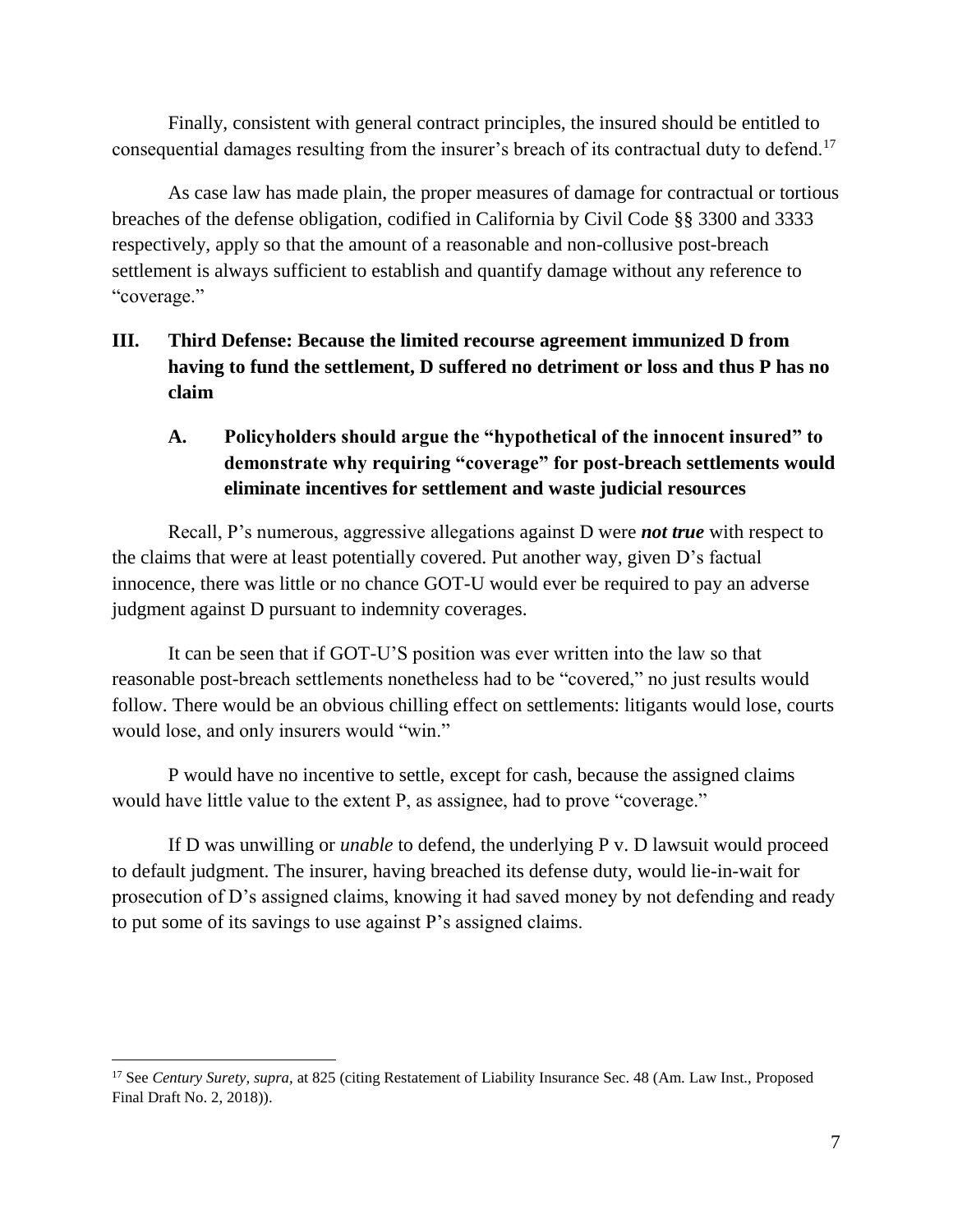Finally, consistent with general contract principles, the insured should be entitled to consequential damages resulting from the insurer's breach of its contractual duty to defend.<sup>17</sup>

As case law has made plain, the proper measures of damage for contractual or tortious breaches of the defense obligation, codified in California by Civil Code §§ 3300 and 3333 respectively, apply so that the amount of a reasonable and non-collusive post-breach settlement is always sufficient to establish and quantify damage without any reference to "coverage."

# **III. Third Defense: Because the limited recourse agreement immunized D from having to fund the settlement, D suffered no detriment or loss and thus P has no claim**

## **A. Policyholders should argue the "hypothetical of the innocent insured" to demonstrate why requiring "coverage" for post-breach settlements would eliminate incentives for settlement and waste judicial resources**

Recall, P's numerous, aggressive allegations against D were *not true* with respect to the claims that were at least potentially covered. Put another way, given D's factual innocence, there was little or no chance GOT-U would ever be required to pay an adverse judgment against D pursuant to indemnity coverages.

It can be seen that if GOT-U'S position was ever written into the law so that reasonable post-breach settlements nonetheless had to be "covered," no just results would follow. There would be an obvious chilling effect on settlements: litigants would lose, courts would lose, and only insurers would "win."

P would have no incentive to settle, except for cash, because the assigned claims would have little value to the extent P, as assignee, had to prove "coverage."

If D was unwilling or *unable* to defend, the underlying P v. D lawsuit would proceed to default judgment. The insurer, having breached its defense duty, would lie-in-wait for prosecution of D's assigned claims, knowing it had saved money by not defending and ready to put some of its savings to use against P's assigned claims.

 $\overline{a}$ 

<sup>17</sup> See *Century Surety, supra,* at 825 (citing Restatement of Liability Insurance Sec. 48 (Am. Law Inst., Proposed Final Draft No. 2, 2018)).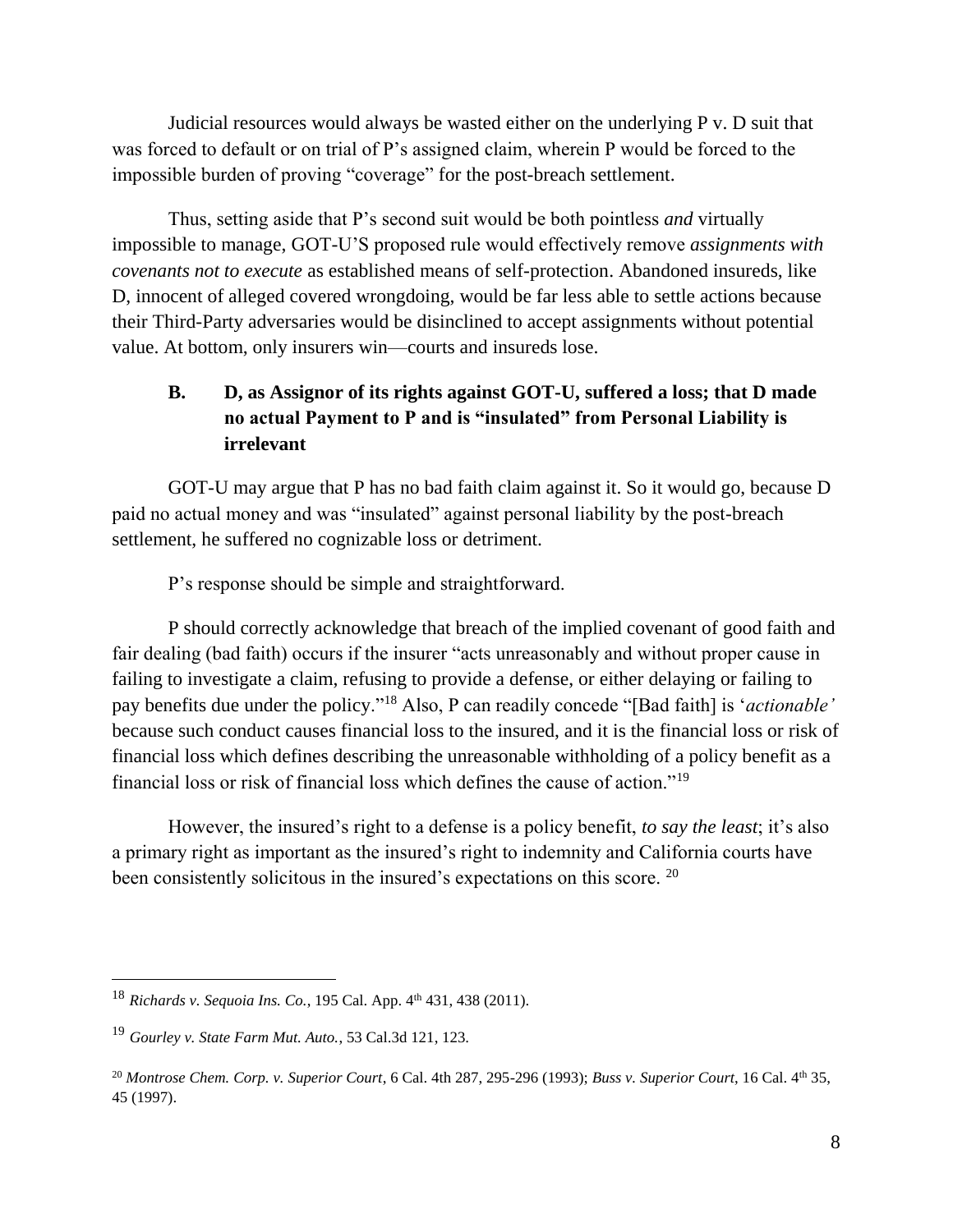Judicial resources would always be wasted either on the underlying P v. D suit that was forced to default or on trial of P's assigned claim, wherein P would be forced to the impossible burden of proving "coverage" for the post-breach settlement.

Thus, setting aside that P's second suit would be both pointless *and* virtually impossible to manage, GOT-U'S proposed rule would effectively remove *assignments with covenants not to execute* as established means of self-protection. Abandoned insureds, like D, innocent of alleged covered wrongdoing, would be far less able to settle actions because their Third-Party adversaries would be disinclined to accept assignments without potential value. At bottom, only insurers win—courts and insureds lose.

# **B. D, as Assignor of its rights against GOT-U, suffered a loss; that D made no actual Payment to P and is "insulated" from Personal Liability is irrelevant**

GOT-U may argue that P has no bad faith claim against it. So it would go, because D paid no actual money and was "insulated" against personal liability by the post-breach settlement, he suffered no cognizable loss or detriment.

P's response should be simple and straightforward.

P should correctly acknowledge that breach of the implied covenant of good faith and fair dealing (bad faith) occurs if the insurer "acts unreasonably and without proper cause in failing to investigate a claim, refusing to provide a defense, or either delaying or failing to pay benefits due under the policy."<sup>18</sup> Also, P can readily concede "[Bad faith] is '*actionable'* because such conduct causes financial loss to the insured, and it is the financial loss or risk of financial loss which defines describing the unreasonable withholding of a policy benefit as a financial loss or risk of financial loss which defines the cause of action."<sup>19</sup>

However, the insured's right to a defense is a policy benefit, *to say the least*; it's also a primary right as important as the insured's right to indemnity and California courts have been consistently solicitous in the insured's expectations on this score. <sup>20</sup>

<sup>&</sup>lt;sup>18</sup> *Richards v. Sequoia Ins. Co.*, 195 Cal. App. 4<sup>th</sup> 431, 438 (2011).

<sup>19</sup> *Gourley v. State Farm Mut. Auto.*, 53 Cal.3d 121, 123.

<sup>20</sup> *Montrose Chem. Corp. v. Superior Court*, 6 Cal. 4th 287, 295-296 (1993); *Buss v. Superior Court*, 16 Cal. 4th 35, 45 (1997).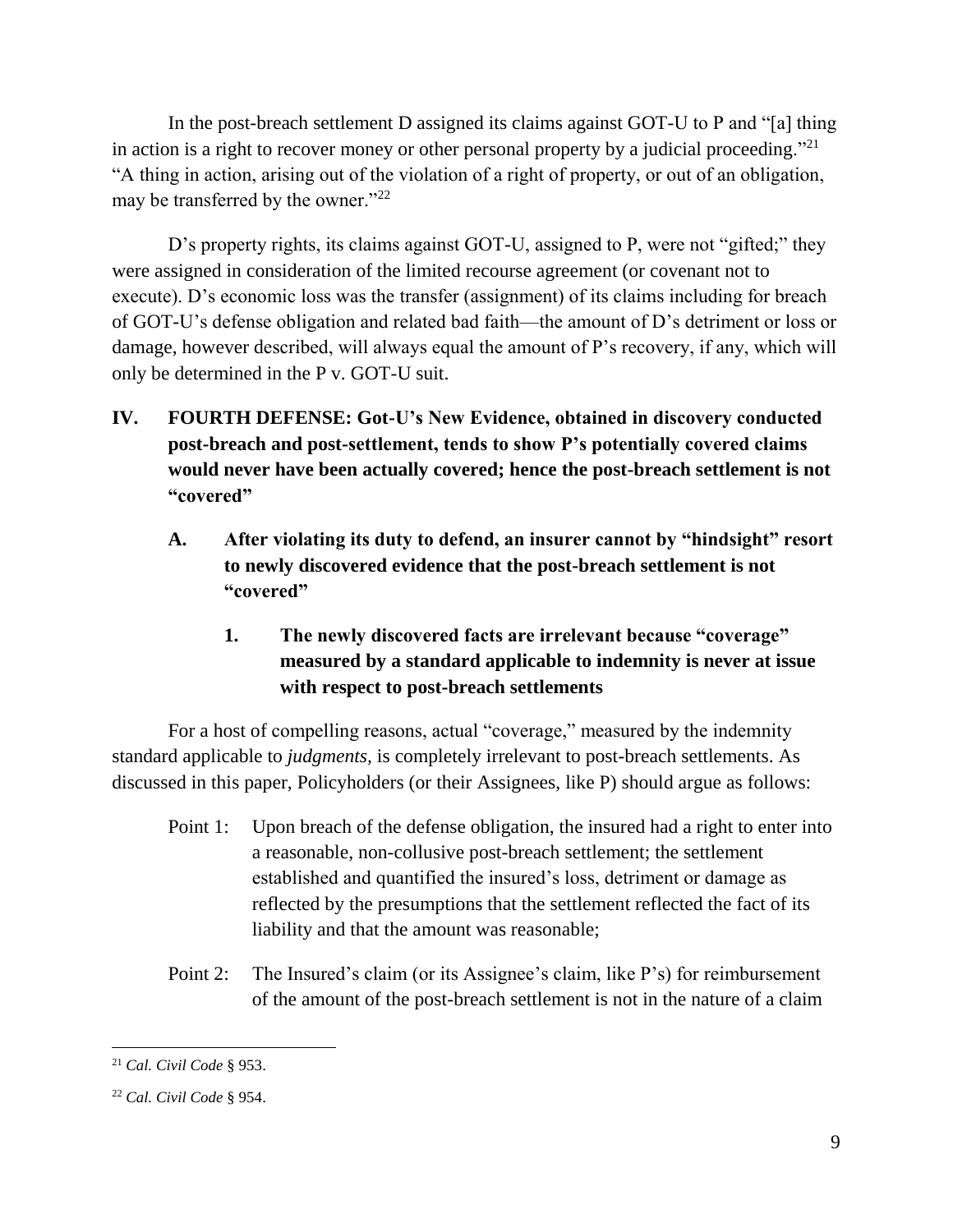In the post-breach settlement D assigned its claims against GOT-U to P and "[a] thing in action is a right to recover money or other personal property by a judicial proceeding."<sup>21</sup> "A thing in action, arising out of the violation of a right of property, or out of an obligation, may be transferred by the owner."<sup>22</sup>

D's property rights, its claims against GOT-U, assigned to P, were not "gifted;" they were assigned in consideration of the limited recourse agreement (or covenant not to execute). D's economic loss was the transfer (assignment) of its claims including for breach of GOT-U's defense obligation and related bad faith—the amount of D's detriment or loss or damage, however described, will always equal the amount of P's recovery, if any, which will only be determined in the P v. GOT-U suit.

- **IV. FOURTH DEFENSE: Got-U's New Evidence, obtained in discovery conducted post-breach and post-settlement, tends to show P's potentially covered claims would never have been actually covered; hence the post-breach settlement is not "covered"** 
	- **A. After violating its duty to defend, an insurer cannot by "hindsight" resort to newly discovered evidence that the post-breach settlement is not "covered"** 
		- **1. The newly discovered facts are irrelevant because "coverage" measured by a standard applicable to indemnity is never at issue with respect to post-breach settlements**

For a host of compelling reasons, actual "coverage," measured by the indemnity standard applicable to *judgments,* is completely irrelevant to post-breach settlements. As discussed in this paper, Policyholders (or their Assignees, like P) should argue as follows:

- Point 1: Upon breach of the defense obligation, the insured had a right to enter into a reasonable, non-collusive post-breach settlement; the settlement established and quantified the insured's loss, detriment or damage as reflected by the presumptions that the settlement reflected the fact of its liability and that the amount was reasonable;
- Point 2: The Insured's claim (or its Assignee's claim, like P's) for reimbursement of the amount of the post-breach settlement is not in the nature of a claim

<sup>21</sup> *Cal. Civil Code* § 953.

<sup>22</sup> *Cal. Civil Code* § 954.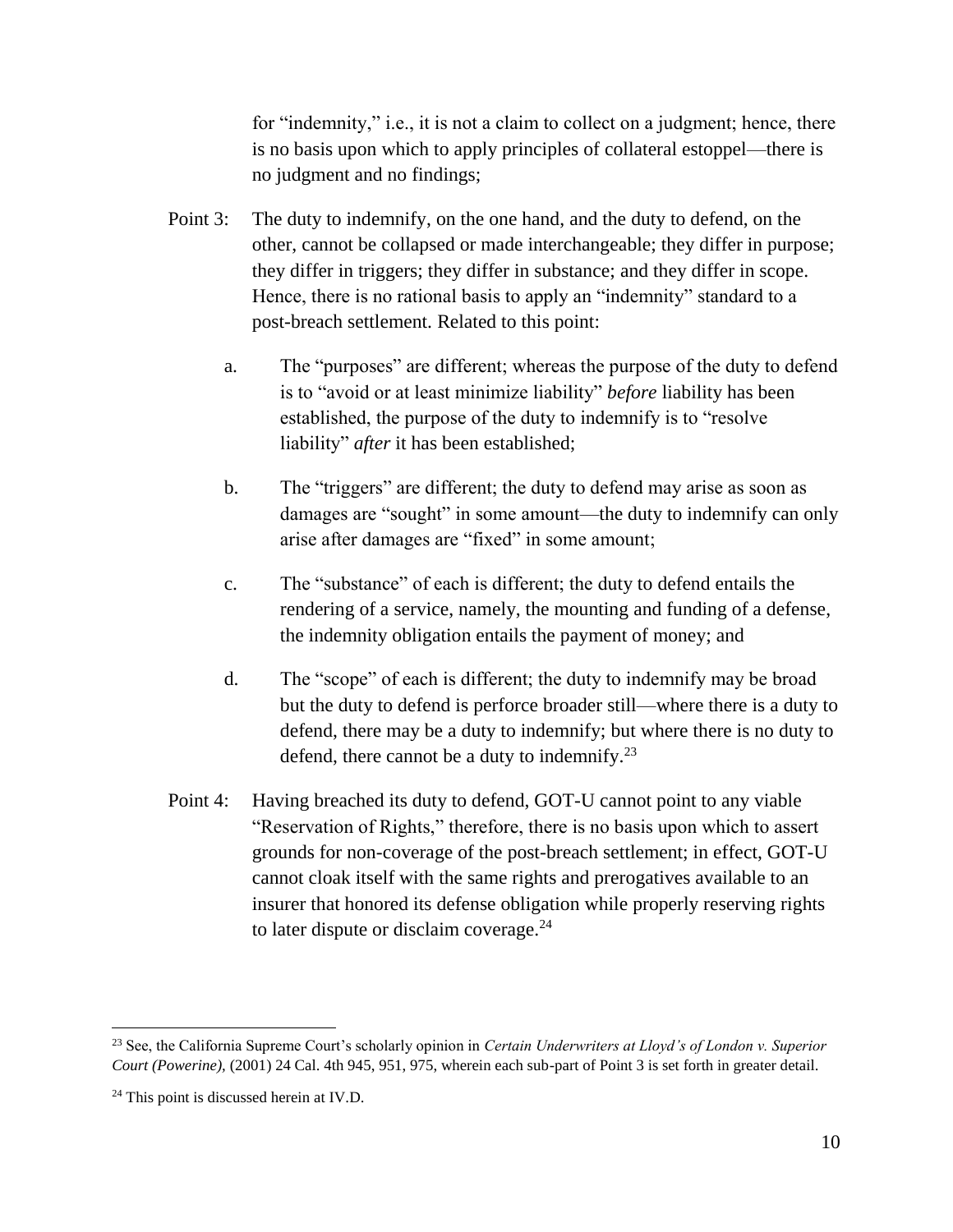for "indemnity," i.e., it is not a claim to collect on a judgment; hence, there is no basis upon which to apply principles of collateral estoppel—there is no judgment and no findings;

- Point 3: The duty to indemnify, on the one hand, and the duty to defend, on the other, cannot be collapsed or made interchangeable; they differ in purpose; they differ in triggers; they differ in substance; and they differ in scope. Hence, there is no rational basis to apply an "indemnity" standard to a post-breach settlement. Related to this point:
	- a. The "purposes" are different; whereas the purpose of the duty to defend is to "avoid or at least minimize liability" *before* liability has been established, the purpose of the duty to indemnify is to "resolve liability" *after* it has been established;
	- b. The "triggers" are different; the duty to defend may arise as soon as damages are "sought" in some amount—the duty to indemnify can only arise after damages are "fixed" in some amount;
	- c. The "substance" of each is different; the duty to defend entails the rendering of a service, namely, the mounting and funding of a defense, the indemnity obligation entails the payment of money; and
	- d. The "scope" of each is different; the duty to indemnify may be broad but the duty to defend is perforce broader still—where there is a duty to defend, there may be a duty to indemnify; but where there is no duty to defend, there cannot be a duty to indemnify.<sup>23</sup>
- Point 4: Having breached its duty to defend, GOT-U cannot point to any viable "Reservation of Rights," therefore, there is no basis upon which to assert grounds for non-coverage of the post-breach settlement; in effect, GOT-U cannot cloak itself with the same rights and prerogatives available to an insurer that honored its defense obligation while properly reserving rights to later dispute or disclaim coverage.<sup>24</sup>

<sup>23</sup> See, the California Supreme Court's scholarly opinion in *Certain Underwriters at Lloyd's of London v. Superior Court (Powerine),* (2001) 24 Cal. 4th 945, 951, 975, wherein each sub-part of Point 3 is set forth in greater detail.

<sup>&</sup>lt;sup>24</sup> This point is discussed herein at IV.D.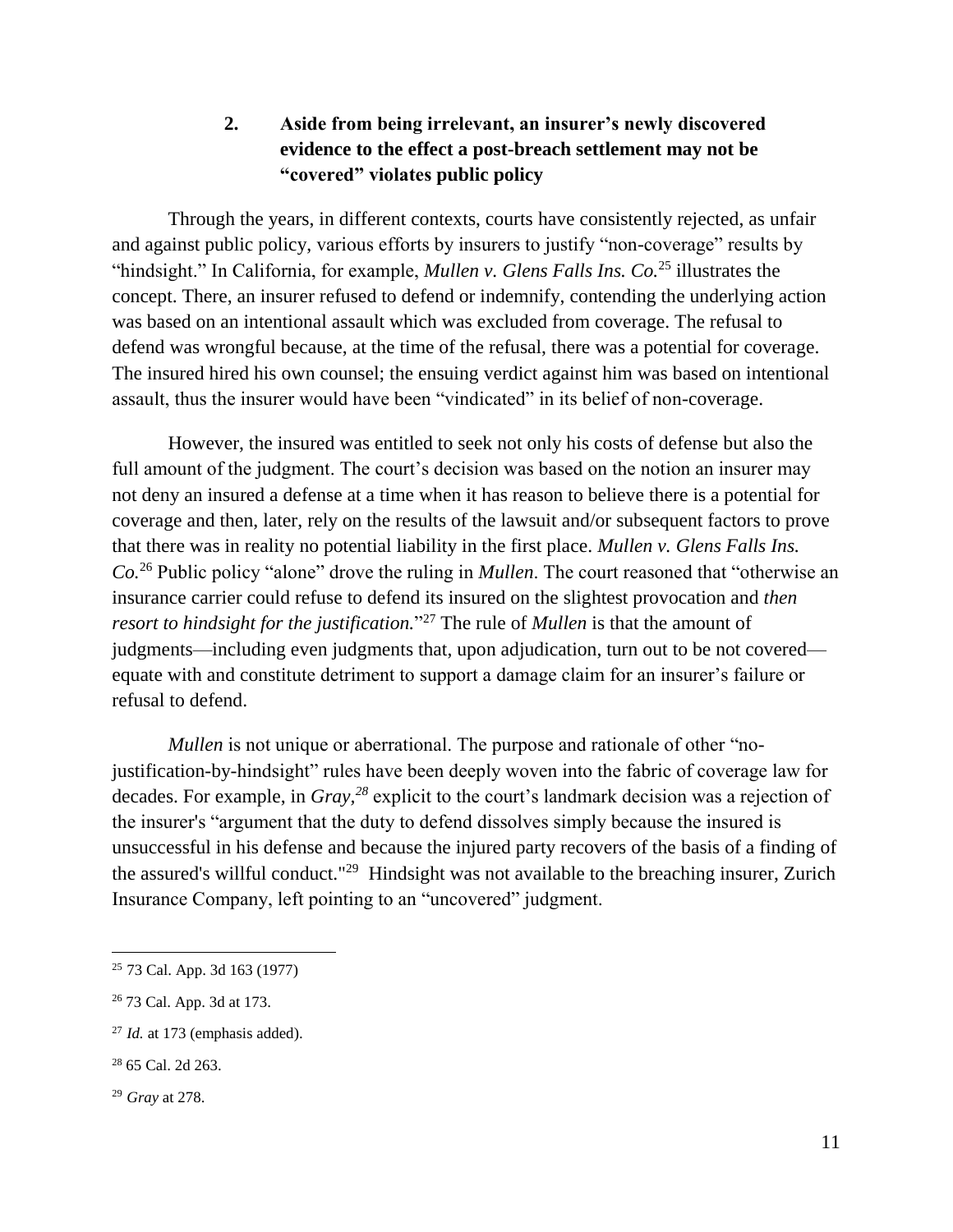## **2. Aside from being irrelevant, an insurer's newly discovered evidence to the effect a post-breach settlement may not be "covered" violates public policy**

Through the years, in different contexts, courts have consistently rejected, as unfair and against public policy, various efforts by insurers to justify "non-coverage" results by "hindsight." In California, for example, *Mullen v. Glens Falls Ins. Co.*<sup>25</sup> illustrates the concept. There, an insurer refused to defend or indemnify, contending the underlying action was based on an intentional assault which was excluded from coverage. The refusal to defend was wrongful because, at the time of the refusal, there was a potential for coverage. The insured hired his own counsel; the ensuing verdict against him was based on intentional assault, thus the insurer would have been "vindicated" in its belief of non-coverage.

However, the insured was entitled to seek not only his costs of defense but also the full amount of the judgment. The court's decision was based on the notion an insurer may not deny an insured a defense at a time when it has reason to believe there is a potential for coverage and then, later, rely on the results of the lawsuit and/or subsequent factors to prove that there was in reality no potential liability in the first place. *Mullen v. Glens Falls Ins. Co.*<sup>26</sup> Public policy "alone" drove the ruling in *Mullen*. The court reasoned that "otherwise an insurance carrier could refuse to defend its insured on the slightest provocation and *then resort to hindsight for the justification.*" <sup>27</sup> The rule of *Mullen* is that the amount of judgments—including even judgments that, upon adjudication, turn out to be not covered equate with and constitute detriment to support a damage claim for an insurer's failure or refusal to defend.

*Mullen* is not unique or aberrational. The purpose and rationale of other "nojustification-by-hindsight" rules have been deeply woven into the fabric of coverage law for decades. For example, in *Gray,<sup>28</sup>* explicit to the court's landmark decision was a rejection of the insurer's "argument that the duty to defend dissolves simply because the insured is unsuccessful in his defense and because the injured party recovers of the basis of a finding of the assured's willful conduct."<sup>29</sup> Hindsight was not available to the breaching insurer, Zurich Insurance Company, left pointing to an "uncovered" judgment.

<sup>25</sup> 73 Cal. App. 3d 163 (1977)

<sup>26</sup> 73 Cal. App. 3d at 173.

<sup>27</sup> *Id.* at 173 (emphasis added).

<sup>28</sup> 65 Cal. 2d 263.

<sup>29</sup> *Gray* at 278.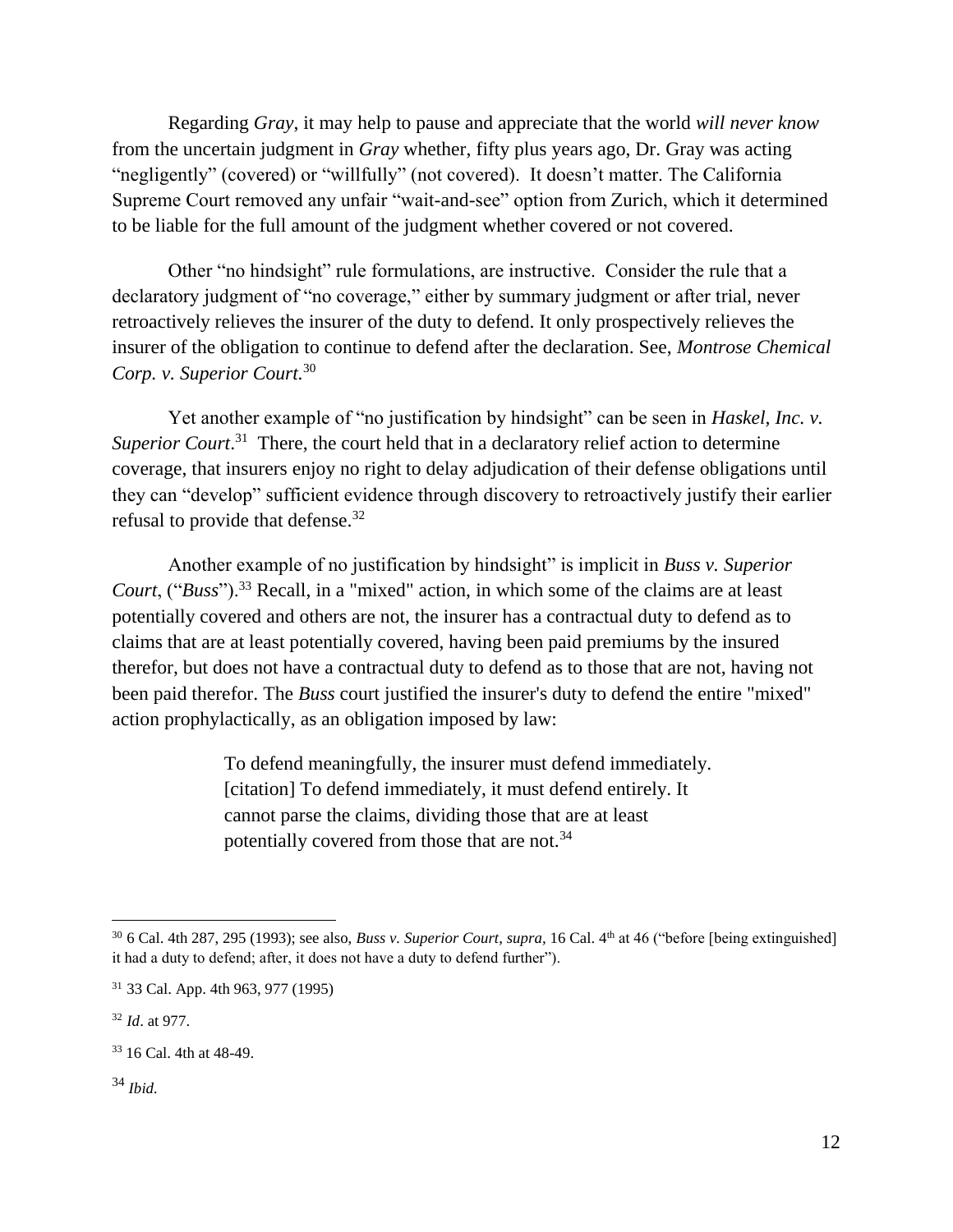Regarding *Gray*, it may help to pause and appreciate that the world *will never know* from the uncertain judgment in *Gray* whether, fifty plus years ago, Dr. Gray was acting "negligently" (covered) or "willfully" (not covered). It doesn't matter. The California Supreme Court removed any unfair "wait-and-see" option from Zurich, which it determined to be liable for the full amount of the judgment whether covered or not covered.

Other "no hindsight" rule formulations, are instructive. Consider the rule that a declaratory judgment of "no coverage," either by summary judgment or after trial, never retroactively relieves the insurer of the duty to defend. It only prospectively relieves the insurer of the obligation to continue to defend after the declaration. See, *Montrose Chemical Corp. v. Superior Court.* 30

Yet another example of "no justification by hindsight" can be seen in *Haskel, Inc. v.* Superior Court.<sup>31</sup> There, the court held that in a declaratory relief action to determine coverage, that insurers enjoy no right to delay adjudication of their defense obligations until they can "develop" sufficient evidence through discovery to retroactively justify their earlier refusal to provide that defense.<sup>32</sup>

Another example of no justification by hindsight" is implicit in *Buss v. Superior Court*, ("*Buss*").<sup>33</sup> Recall, in a "mixed" action, in which some of the claims are at least potentially covered and others are not, the insurer has a contractual duty to defend as to claims that are at least potentially covered, having been paid premiums by the insured therefor, but does not have a contractual duty to defend as to those that are not, having not been paid therefor. The *Buss* court justified the insurer's duty to defend the entire "mixed" action prophylactically, as an obligation imposed by law:

> To defend meaningfully, the insurer must defend immediately. [citation] To defend immediately, it must defend entirely. It cannot parse the claims, dividing those that are at least potentially covered from those that are not.<sup>34</sup>

<sup>34</sup> *Ibid.*

<sup>30</sup> 6 Cal. 4th 287, 295 (1993); see also, *Buss v. Superior Court*, *supra,* 16 Cal. 4th at 46 ("before [being extinguished] it had a duty to defend; after, it does not have a duty to defend further").

<sup>31</sup> 33 Cal. App. 4th 963, 977 (1995)

<sup>32</sup> *Id*. at 977.

<sup>33</sup> 16 Cal. 4th at 48-49.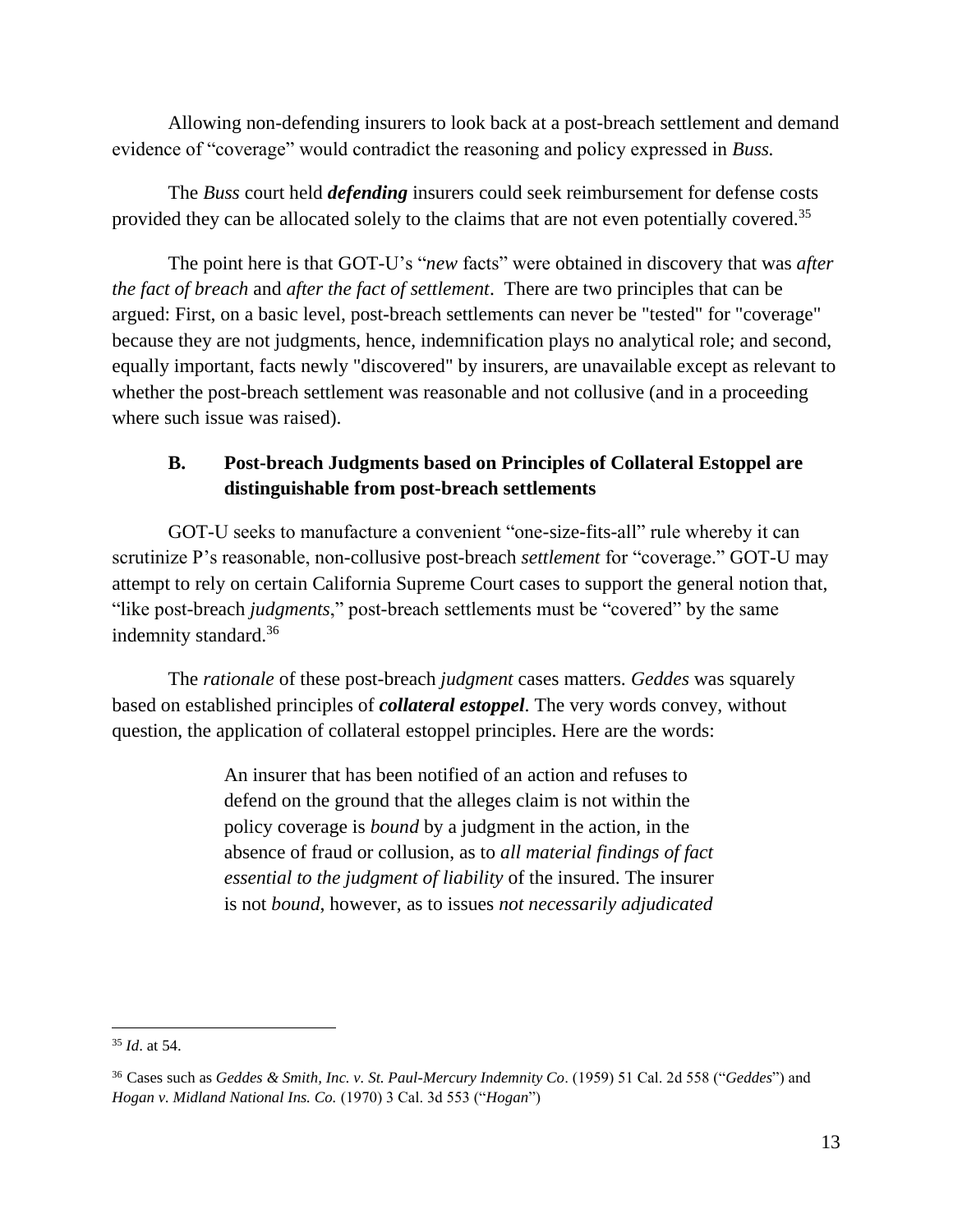Allowing non-defending insurers to look back at a post-breach settlement and demand evidence of "coverage" would contradict the reasoning and policy expressed in *Buss.*

The *Buss* court held *defending* insurers could seek reimbursement for defense costs provided they can be allocated solely to the claims that are not even potentially covered.<sup>35</sup>

The point here is that GOT-U's "*new* facts" were obtained in discovery that was *after the fact of breach* and *after the fact of settlement*. There are two principles that can be argued: First, on a basic level, post-breach settlements can never be "tested" for "coverage" because they are not judgments, hence, indemnification plays no analytical role; and second, equally important, facts newly "discovered" by insurers, are unavailable except as relevant to whether the post-breach settlement was reasonable and not collusive (and in a proceeding where such issue was raised).

## **B. Post-breach Judgments based on Principles of Collateral Estoppel are distinguishable from post-breach settlements**

 GOT-U seeks to manufacture a convenient "one-size-fits-all" rule whereby it can scrutinize P's reasonable, non-collusive post-breach *settlement* for "coverage." GOT-U may attempt to rely on certain California Supreme Court cases to support the general notion that, "like post-breach *judgments*," post-breach settlements must be "covered" by the same indemnity standard.<sup>36</sup>

The *rationale* of these post-breach *judgment* cases matters. *Geddes* was squarely based on established principles of *collateral estoppel*. The very words convey, without question, the application of collateral estoppel principles. Here are the words:

> An insurer that has been notified of an action and refuses to defend on the ground that the alleges claim is not within the policy coverage is *bound* by a judgment in the action, in the absence of fraud or collusion, as to *all material findings of fact essential to the judgment of liability* of the insured. The insurer is not *bound*, however, as to issues *not necessarily adjudicated*

 <sup>35</sup> *Id*. at 54.

<sup>36</sup> Cases such as *Geddes & Smith, Inc. v. St. Paul-Mercury Indemnity Co*. (1959) 51 Cal. 2d 558 ("*Geddes*") and *Hogan v. Midland National Ins. Co.* (1970) 3 Cal. 3d 553 ("*Hogan*")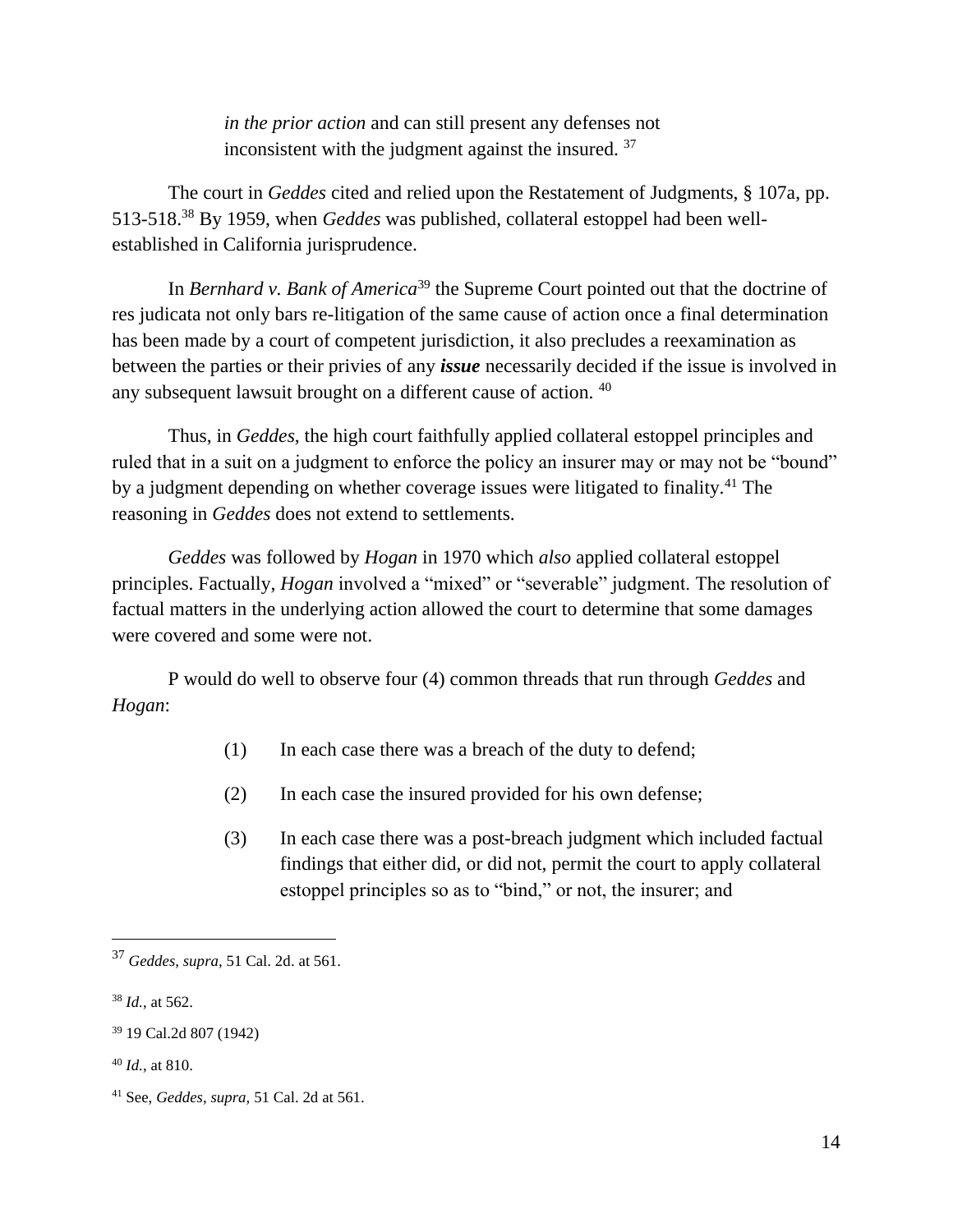*in the prior action* and can still present any defenses not inconsistent with the judgment against the insured. <sup>37</sup>

The court in *Geddes* cited and relied upon the Restatement of Judgments, § 107a, pp. 513-518. <sup>38</sup> By 1959, when *Geddes* was published, collateral estoppel had been wellestablished in California jurisprudence.

In *Bernhard v. Bank of America*<sup>39</sup> the Supreme Court pointed out that the doctrine of res judicata not only bars re-litigation of the same cause of action once a final determination has been made by a court of competent jurisdiction, it also precludes a reexamination as between the parties or their privies of any *issue* necessarily decided if the issue is involved in any subsequent lawsuit brought on a different cause of action. <sup>40</sup>

Thus, in *Geddes*, the high court faithfully applied collateral estoppel principles and ruled that in a suit on a judgment to enforce the policy an insurer may or may not be "bound" by a judgment depending on whether coverage issues were litigated to finality.<sup>41</sup> The reasoning in *Geddes* does not extend to settlements.

*Geddes* was followed by *Hogan* in 1970 which *also* applied collateral estoppel principles. Factually, *Hogan* involved a "mixed" or "severable" judgment. The resolution of factual matters in the underlying action allowed the court to determine that some damages were covered and some were not.

P would do well to observe four (4) common threads that run through *Geddes* and *Hogan*:

- (1) In each case there was a breach of the duty to defend;
- (2) In each case the insured provided for his own defense;
- (3) In each case there was a post-breach judgment which included factual findings that either did, or did not, permit the court to apply collateral estoppel principles so as to "bind," or not, the insurer; and

<sup>37</sup> *Geddes, supra,* 51 Cal. 2d. at 561.

<sup>38</sup> *Id.*, at 562.

<sup>39</sup> 19 Cal.2d 807 (1942)

<sup>40</sup> *Id.*, at 810.

<sup>41</sup> See, *Geddes, supra,* 51 Cal. 2d at 561.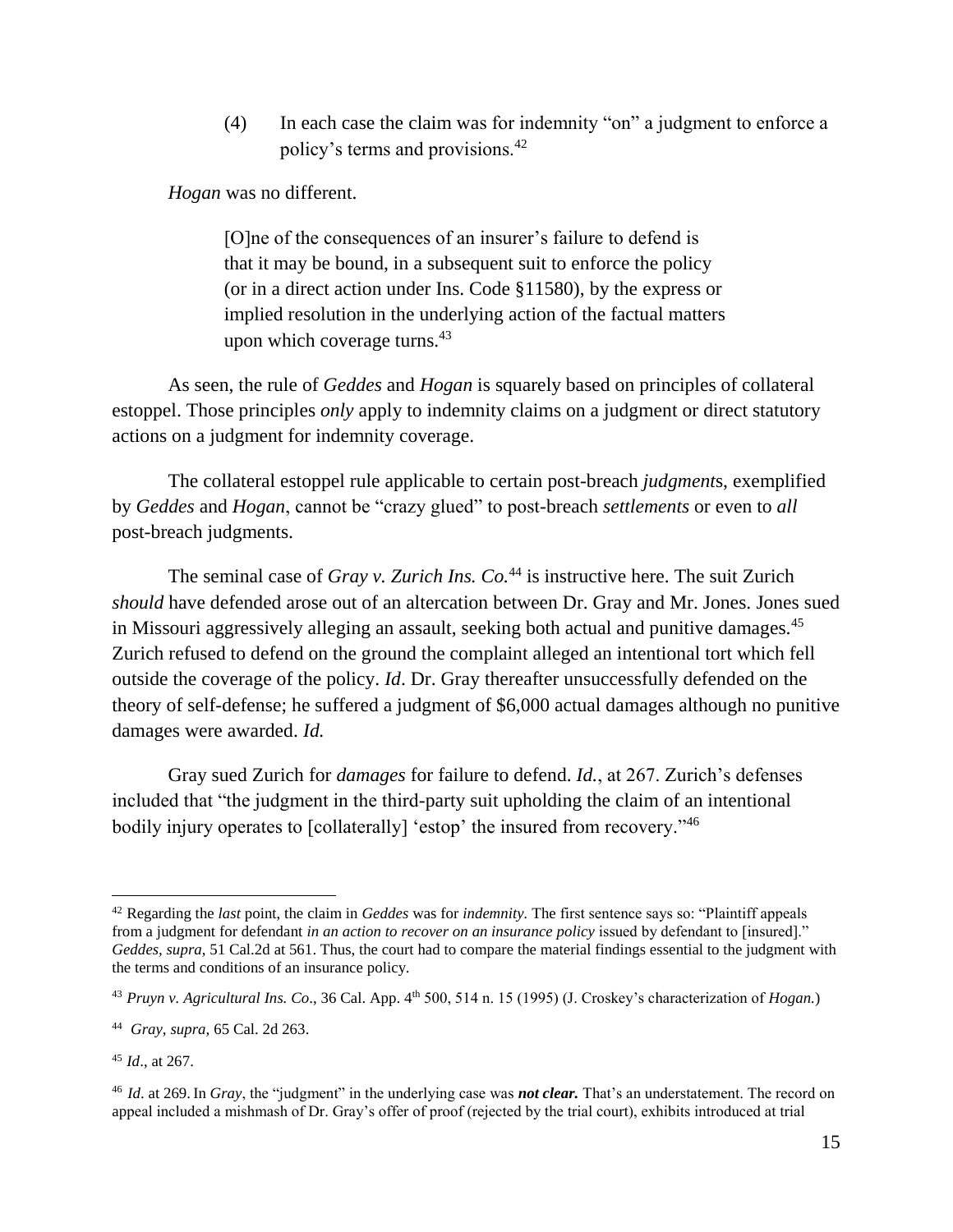(4) In each case the claim was for indemnity "on" a judgment to enforce a policy's terms and provisions.<sup>42</sup>

*Hogan* was no different.

[O]ne of the consequences of an insurer's failure to defend is that it may be bound, in a subsequent suit to enforce the policy (or in a direct action under Ins. Code §11580), by the express or implied resolution in the underlying action of the factual matters upon which coverage turns. $43$ 

As seen, the rule of *Geddes* and *Hogan* is squarely based on principles of collateral estoppel. Those principles *only* apply to indemnity claims on a judgment or direct statutory actions on a judgment for indemnity coverage.

The collateral estoppel rule applicable to certain post-breach *judgment*s, exemplified by *Geddes* and *Hogan*, cannot be "crazy glued" to post-breach *settlements* or even to *all* post-breach judgments.

The seminal case of *Gray v. Zurich Ins. Co.*<sup>44</sup> is instructive here. The suit Zurich *should* have defended arose out of an altercation between Dr. Gray and Mr. Jones. Jones sued in Missouri aggressively alleging an assault, seeking both actual and punitive damages.<sup>45</sup> Zurich refused to defend on the ground the complaint alleged an intentional tort which fell outside the coverage of the policy. *Id*. Dr. Gray thereafter unsuccessfully defended on the theory of self-defense; he suffered a judgment of \$6,000 actual damages although no punitive damages were awarded. *Id.* 

Gray sued Zurich for *damages* for failure to defend. *Id.*, at 267. Zurich's defenses included that "the judgment in the third-party suit upholding the claim of an intentional bodily injury operates to [collaterally] 'estop' the insured from recovery."<sup>46</sup>

<sup>42</sup> Regarding the *last* point, the claim in *Geddes* was for *indemnity.* The first sentence says so: "Plaintiff appeals from a judgment for defendant *in an action to recover on an insurance policy* issued by defendant to [insured]." *Geddes, supra*, 51 Cal.2d at 561. Thus, the court had to compare the material findings essential to the judgment with the terms and conditions of an insurance policy.

<sup>43</sup> *Pruyn v. Agricultural Ins. Co*., 36 Cal. App. 4th 500, 514 n. 15 (1995) (J. Croskey's characterization of *Hogan.*)

<sup>44</sup> *Gray*, *supra,* 65 Cal. 2d 263.

<sup>45</sup> *Id*., at 267.

<sup>46</sup> *Id*. at 269.In *Gray*, the "judgment" in the underlying case was *not clear.* That's an understatement. The record on appeal included a mishmash of Dr. Gray's offer of proof (rejected by the trial court), exhibits introduced at trial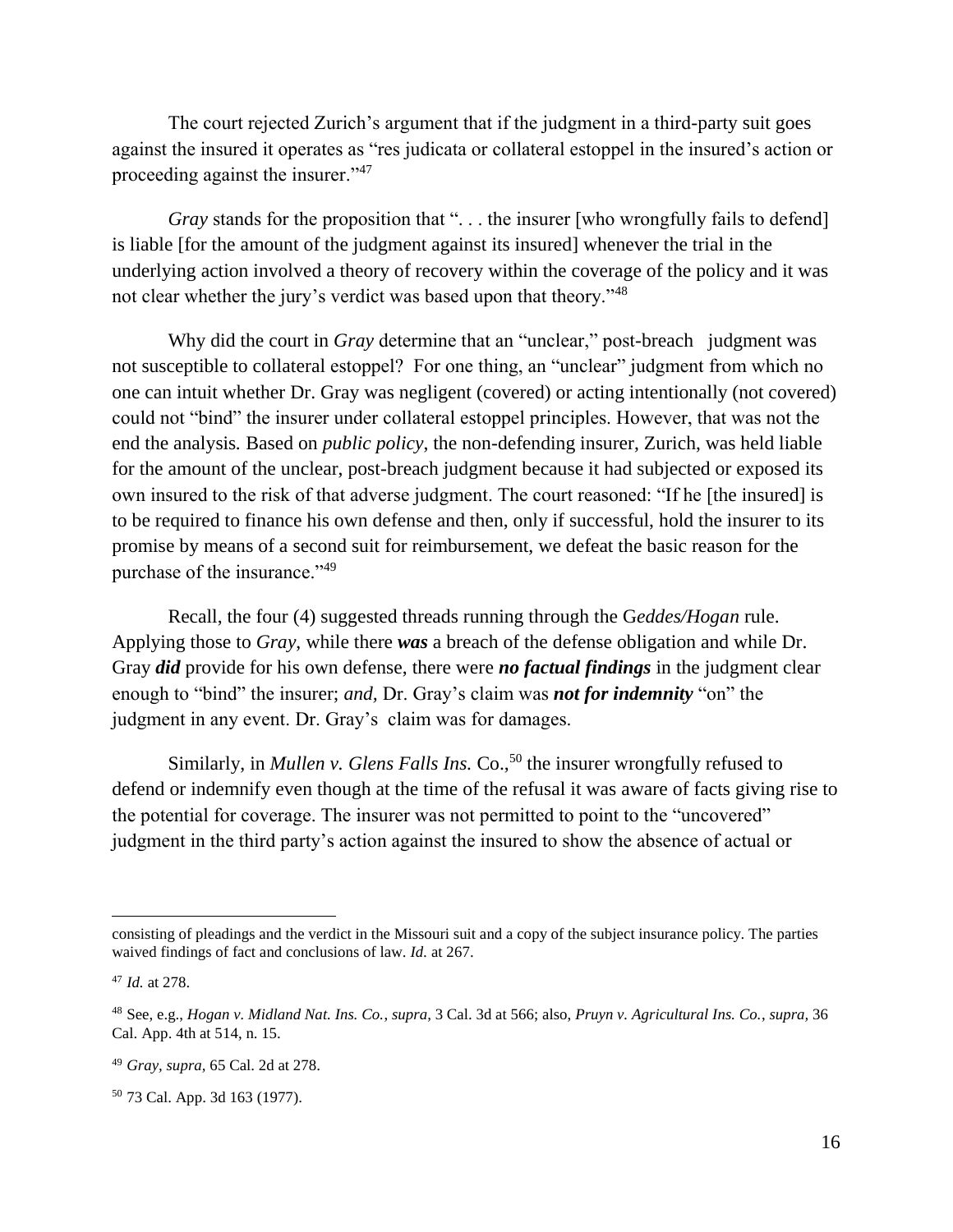The court rejected Zurich's argument that if the judgment in a third-party suit goes against the insured it operates as "res judicata or collateral estoppel in the insured's action or proceeding against the insurer."<sup>47</sup>

*Gray* stands for the proposition that "... the insurer [who wrongfully fails to defend] is liable [for the amount of the judgment against its insured] whenever the trial in the underlying action involved a theory of recovery within the coverage of the policy and it was not clear whether the jury's verdict was based upon that theory."<sup>48</sup>

Why did the court in *Gray* determine that an "unclear," post-breach judgment was not susceptible to collateral estoppel? For one thing, an "unclear" judgment from which no one can intuit whether Dr. Gray was negligent (covered) or acting intentionally (not covered) could not "bind" the insurer under collateral estoppel principles. However, that was not the end the analysis*.* Based on *public policy*, the non-defending insurer, Zurich, was held liable for the amount of the unclear, post-breach judgment because it had subjected or exposed its own insured to the risk of that adverse judgment. The court reasoned: "If he [the insured] is to be required to finance his own defense and then, only if successful, hold the insurer to its promise by means of a second suit for reimbursement, we defeat the basic reason for the purchase of the insurance."<sup>49</sup>

Recall, the four (4) suggested threads running through the G*eddes/Hogan* rule. Applying those to *Gray*, while there *was* a breach of the defense obligation and while Dr. Gray *did* provide for his own defense, there were *no factual findings* in the judgment clear enough to "bind" the insurer; *and,* Dr. Gray's claim was *not for indemnity* "on" the judgment in any event. Dr. Gray's claim was for damages.

Similarly, in *Mullen v. Glens Falls Ins.* Co.,<sup>50</sup> the insurer wrongfully refused to defend or indemnify even though at the time of the refusal it was aware of facts giving rise to the potential for coverage. The insurer was not permitted to point to the "uncovered" judgment in the third party's action against the insured to show the absence of actual or

l

consisting of pleadings and the verdict in the Missouri suit and a copy of the subject insurance policy. The parties waived findings of fact and conclusions of law. *Id.* at 267.

<sup>47</sup> *Id.* at 278.

<sup>48</sup> See, e.g., *Hogan v. Midland Nat. Ins. Co.*, *supra,* 3 Cal. 3d at 566; also, *Pruyn v. Agricultural Ins. Co.*, *supra,* 36 Cal. App. 4th at 514, n. 15.

<sup>49</sup> *Gray, supra,* 65 Cal. 2d at 278.

<sup>50</sup> 73 Cal. App. 3d 163 (1977).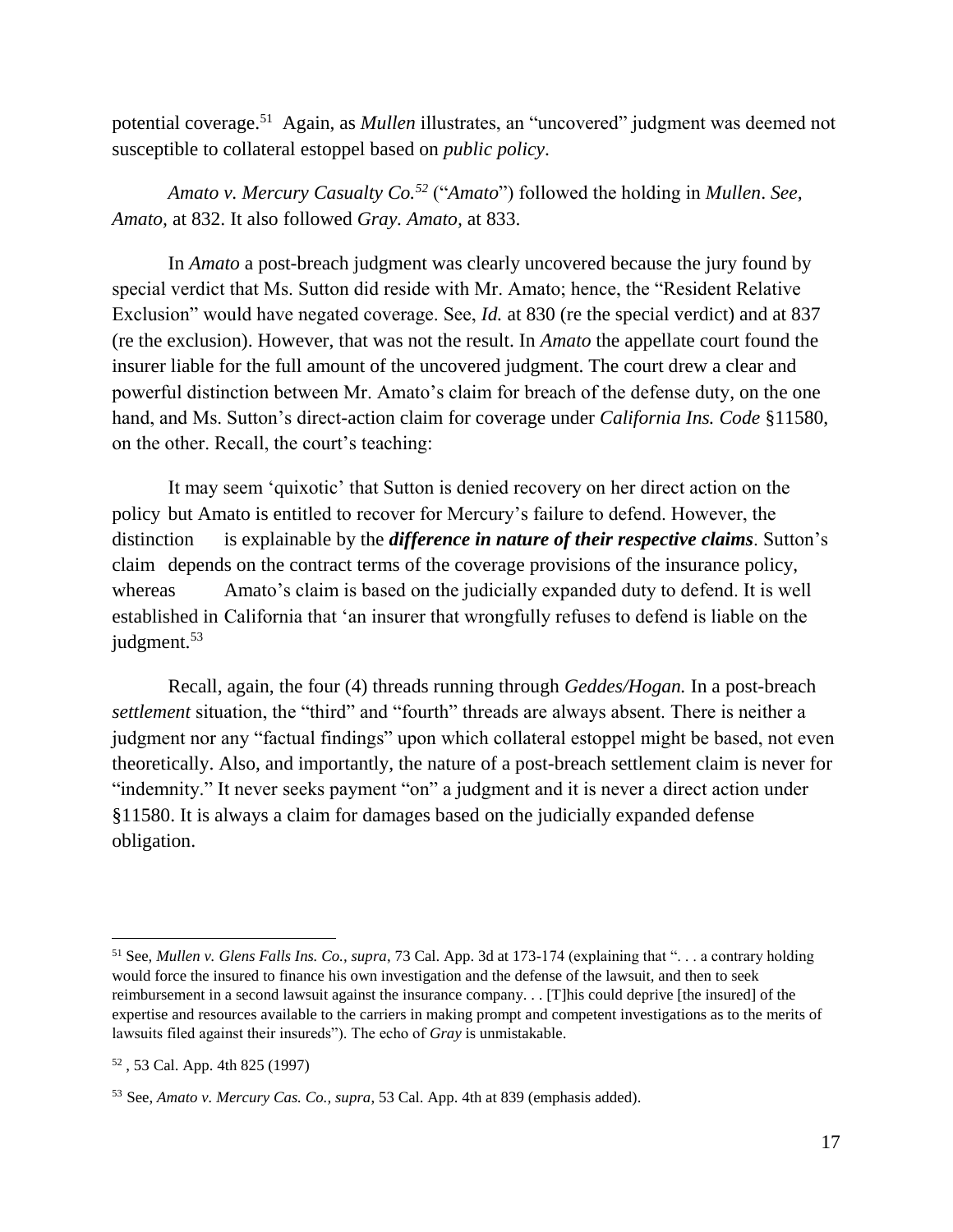potential coverage.<sup>51</sup> Again, as *Mullen* illustrates, an "uncovered" judgment was deemed not susceptible to collateral estoppel based on *public policy*.

*Amato v. Mercury Casualty Co.<sup>52</sup>* ("*Amato*") followed the holding in *Mullen*. *See, Amato,* at 832. It also followed *Gray. Amato,* at 833.

In *Amato* a post-breach judgment was clearly uncovered because the jury found by special verdict that Ms. Sutton did reside with Mr. Amato; hence, the "Resident Relative Exclusion" would have negated coverage. See, *Id.* at 830 (re the special verdict) and at 837 (re the exclusion). However, that was not the result. In *Amato* the appellate court found the insurer liable for the full amount of the uncovered judgment. The court drew a clear and powerful distinction between Mr. Amato's claim for breach of the defense duty, on the one hand, and Ms. Sutton's direct-action claim for coverage under *California Ins. Code* §11580, on the other. Recall, the court's teaching:

It may seem 'quixotic' that Sutton is denied recovery on her direct action on the policy but Amato is entitled to recover for Mercury's failure to defend. However, the distinction is explainable by the *difference in nature of their respective claims*. Sutton's claim depends on the contract terms of the coverage provisions of the insurance policy, whereas Amato's claim is based on the judicially expanded duty to defend. It is well established in California that 'an insurer that wrongfully refuses to defend is liable on the judgment.<sup>53</sup>

Recall, again, the four (4) threads running through *Geddes/Hogan.* In a post-breach *settlement* situation, the "third" and "fourth" threads are always absent. There is neither a judgment nor any "factual findings" upon which collateral estoppel might be based, not even theoretically. Also, and importantly, the nature of a post-breach settlement claim is never for "indemnity." It never seeks payment "on" a judgment and it is never a direct action under §11580. It is always a claim for damages based on the judicially expanded defense obligation.

<sup>51</sup> See, *Mullen v. Glens Falls Ins. Co., supra*, 73 Cal. App. 3d at 173-174 (explaining that ". . . a contrary holding would force the insured to finance his own investigation and the defense of the lawsuit, and then to seek reimbursement in a second lawsuit against the insurance company. . . [T]his could deprive [the insured] of the expertise and resources available to the carriers in making prompt and competent investigations as to the merits of lawsuits filed against their insureds"). The echo of *Gray* is unmistakable.

<sup>52</sup> , 53 Cal. App. 4th 825 (1997)

<sup>53</sup> See, *Amato v. Mercury Cas. Co., supra*, 53 Cal. App. 4th at 839 (emphasis added).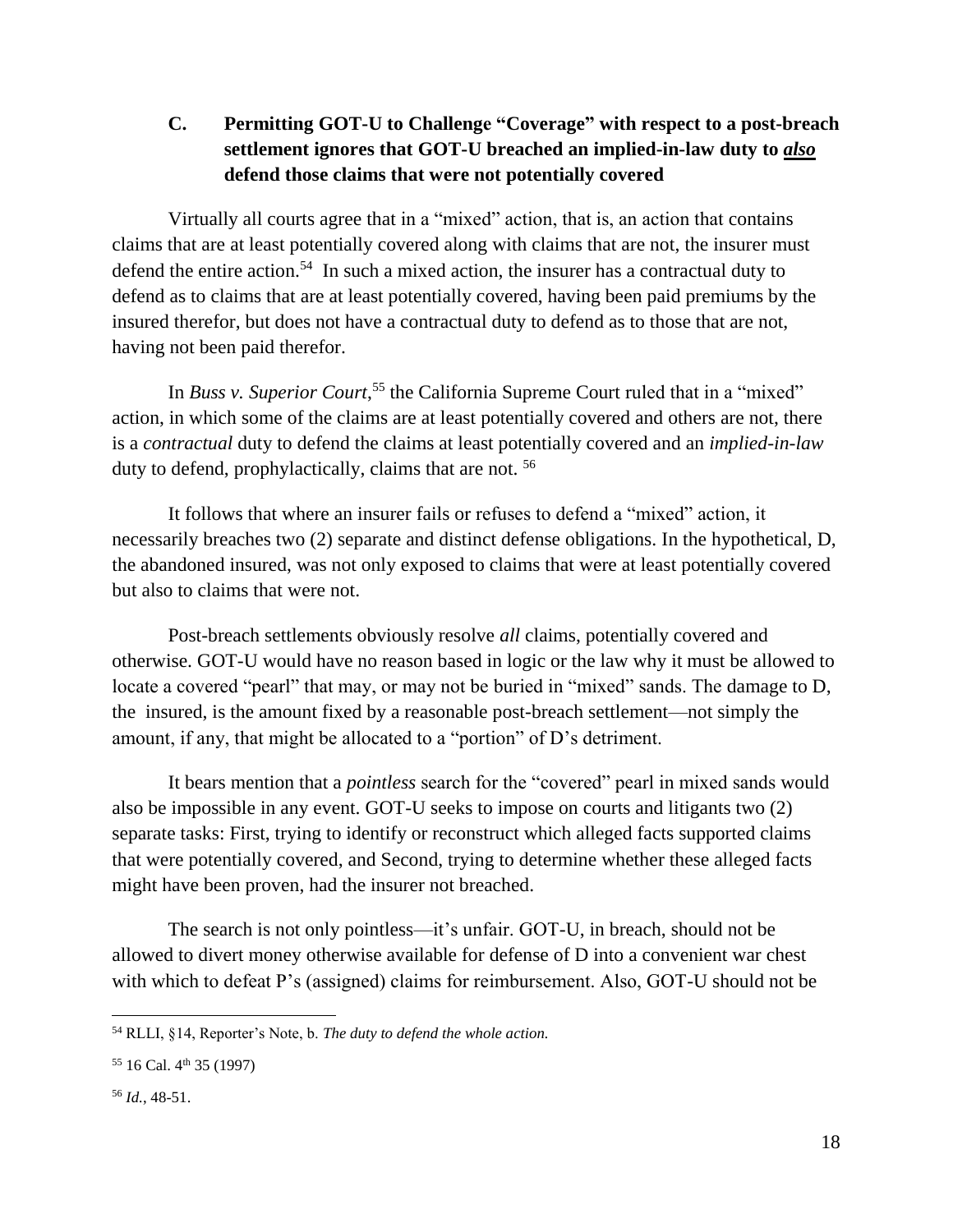## **C. Permitting GOT-U to Challenge "Coverage" with respect to a post-breach settlement ignores that GOT-U breached an implied-in-law duty to** *also* **defend those claims that were not potentially covered**

Virtually all courts agree that in a "mixed" action, that is, an action that contains claims that are at least potentially covered along with claims that are not, the insurer must defend the entire action.<sup>54</sup> In such a mixed action, the insurer has a contractual duty to defend as to claims that are at least potentially covered, having been paid premiums by the insured therefor, but does not have a contractual duty to defend as to those that are not, having not been paid therefor.

In *Buss v. Superior Court*, <sup>55</sup> the California Supreme Court ruled that in a "mixed" action, in which some of the claims are at least potentially covered and others are not, there is a *contractual* duty to defend the claims at least potentially covered and an *implied-in-law* duty to defend, prophylactically, claims that are not. <sup>56</sup>

It follows that where an insurer fails or refuses to defend a "mixed" action, it necessarily breaches two (2) separate and distinct defense obligations. In the hypothetical, D, the abandoned insured, was not only exposed to claims that were at least potentially covered but also to claims that were not.

Post-breach settlements obviously resolve *all* claims, potentially covered and otherwise. GOT-U would have no reason based in logic or the law why it must be allowed to locate a covered "pearl" that may, or may not be buried in "mixed" sands. The damage to D, the insured, is the amount fixed by a reasonable post-breach settlement—not simply the amount, if any, that might be allocated to a "portion" of D's detriment.

It bears mention that a *pointless* search for the "covered" pearl in mixed sands would also be impossible in any event. GOT-U seeks to impose on courts and litigants two (2) separate tasks: First, trying to identify or reconstruct which alleged facts supported claims that were potentially covered, and Second, trying to determine whether these alleged facts might have been proven, had the insurer not breached.

The search is not only pointless—it's unfair. GOT-U, in breach, should not be allowed to divert money otherwise available for defense of D into a convenient war chest with which to defeat P's (assigned) claims for reimbursement. Also, GOT-U should not be

 $\overline{a}$ 

<sup>54</sup> RLLI, §14, Reporter's Note, b. *The duty to defend the whole action.*

 $55$  16 Cal.  $4<sup>th</sup>$  35 (1997)

<sup>56</sup> *Id.*, 48-51.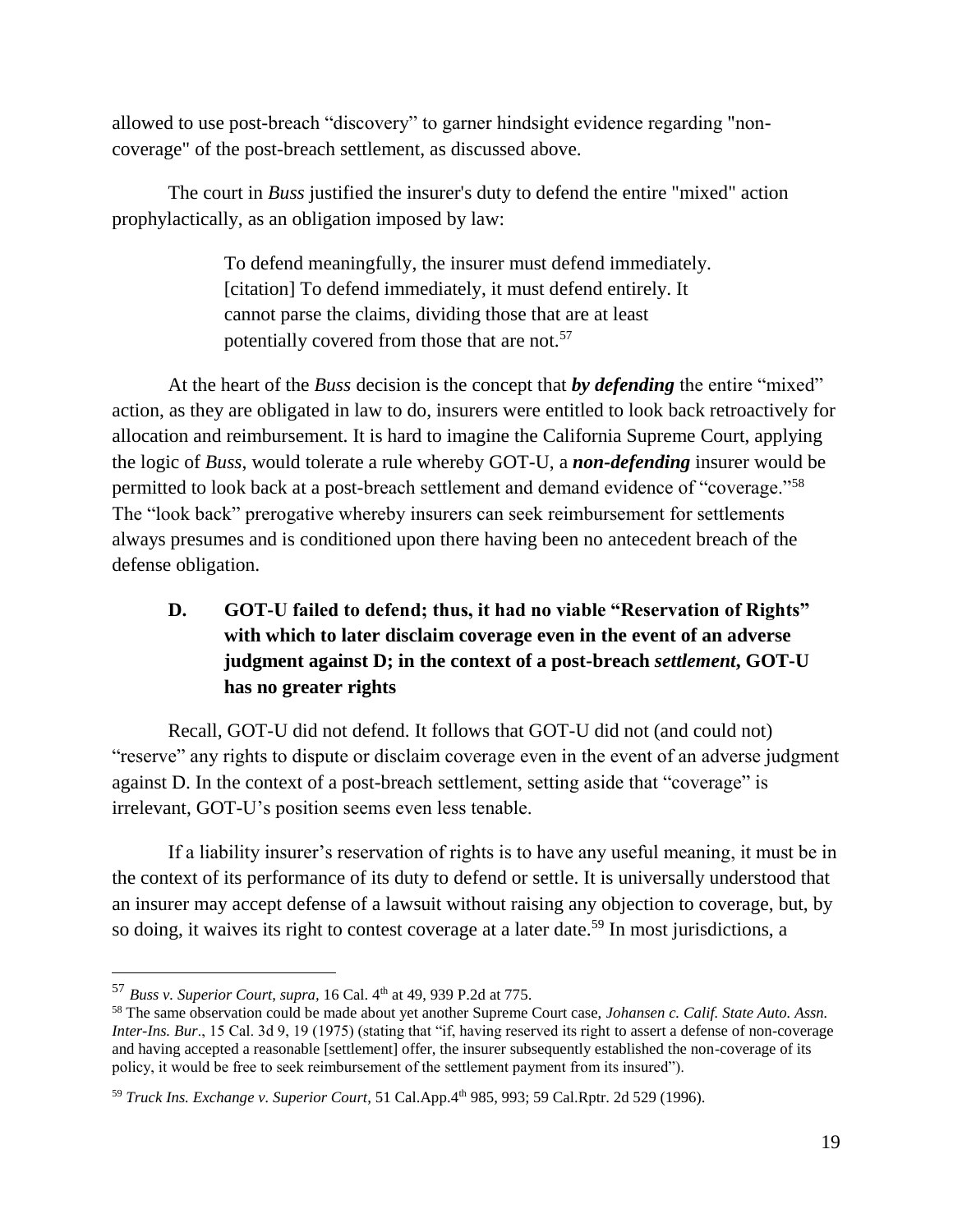allowed to use post-breach "discovery" to garner hindsight evidence regarding "noncoverage" of the post-breach settlement, as discussed above.

The court in *Buss* justified the insurer's duty to defend the entire "mixed" action prophylactically, as an obligation imposed by law:

> To defend meaningfully, the insurer must defend immediately. [citation] To defend immediately, it must defend entirely. It cannot parse the claims, dividing those that are at least potentially covered from those that are not.<sup>57</sup>

At the heart of the *Buss* decision is the concept that *by defending* the entire "mixed" action, as they are obligated in law to do, insurers were entitled to look back retroactively for allocation and reimbursement. It is hard to imagine the California Supreme Court, applying the logic of *Buss*, would tolerate a rule whereby GOT-U, a *non-defending* insurer would be permitted to look back at a post-breach settlement and demand evidence of "coverage."<sup>58</sup> The "look back" prerogative whereby insurers can seek reimbursement for settlements always presumes and is conditioned upon there having been no antecedent breach of the defense obligation.

# **D. GOT-U failed to defend; thus, it had no viable "Reservation of Rights" with which to later disclaim coverage even in the event of an adverse judgment against D; in the context of a post-breach** *settlement***, GOT-U has no greater rights**

Recall, GOT-U did not defend. It follows that GOT-U did not (and could not) "reserve" any rights to dispute or disclaim coverage even in the event of an adverse judgment against D. In the context of a post-breach settlement, setting aside that "coverage" is irrelevant, GOT-U's position seems even less tenable.

If a liability insurer's reservation of rights is to have any useful meaning, it must be in the context of its performance of its duty to defend or settle. It is universally understood that an insurer may accept defense of a lawsuit without raising any objection to coverage, but, by so doing, it waives its right to contest coverage at a later date.<sup>59</sup> In most jurisdictions, a

<sup>57</sup> *Buss v. Superior Court*, *supra,* 16 Cal. 4th at 49, 939 P.2d at 775.

<sup>58</sup> The same observation could be made about yet another Supreme Court case, *Johansen c. Calif. State Auto. Assn. Inter-Ins. Bur*., 15 Cal. 3d 9, 19 (1975) (stating that "if, having reserved its right to assert a defense of non-coverage and having accepted a reasonable [settlement] offer, the insurer subsequently established the non-coverage of its policy, it would be free to seek reimbursement of the settlement payment from its insured").

<sup>59</sup> *Truck Ins. Exchange v. Superior Court*, 51 Cal.App.4th 985, 993; 59 Cal.Rptr. 2d 529 (1996).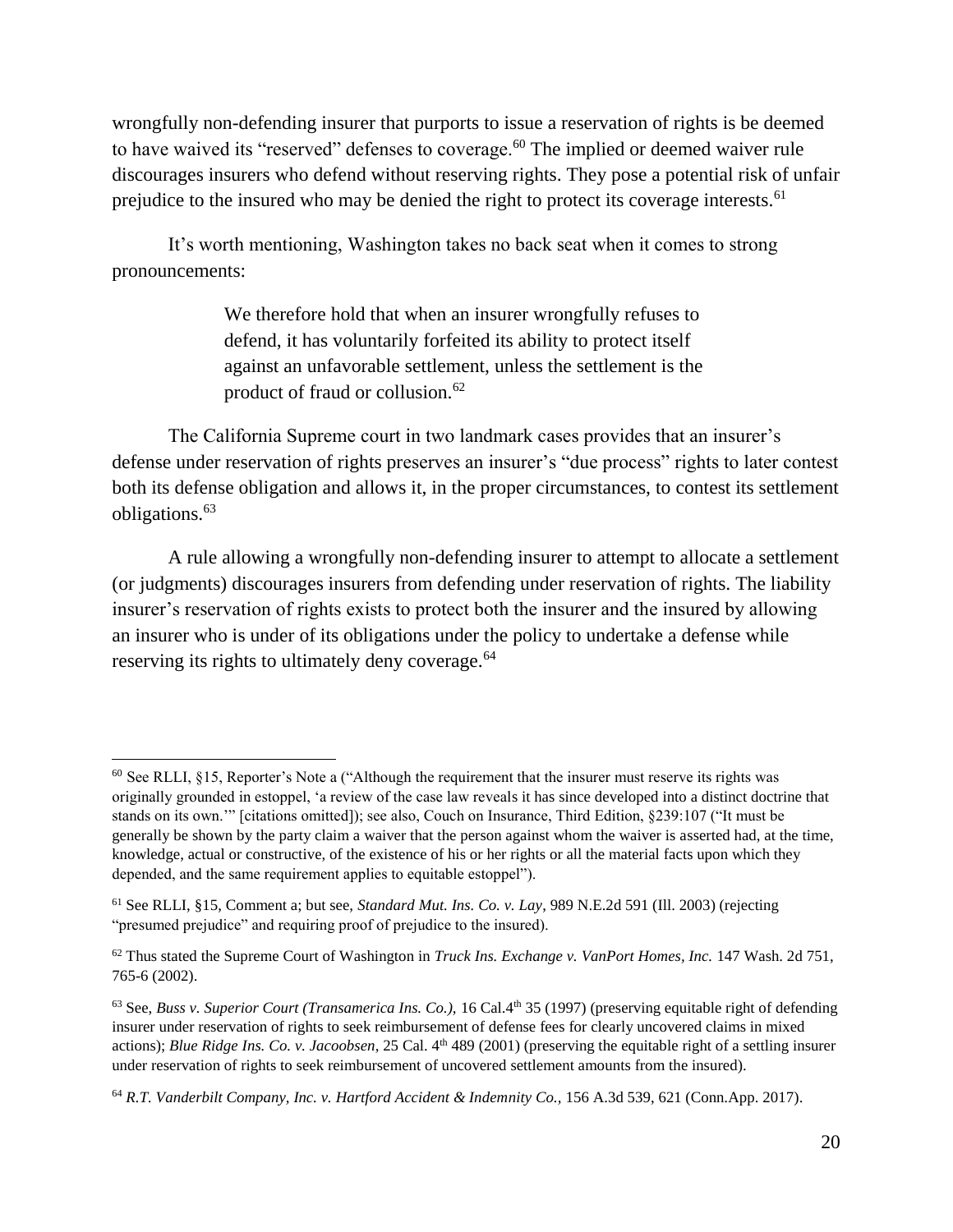wrongfully non-defending insurer that purports to issue a reservation of rights is be deemed to have waived its "reserved" defenses to coverage.<sup>60</sup> The implied or deemed waiver rule discourages insurers who defend without reserving rights. They pose a potential risk of unfair prejudice to the insured who may be denied the right to protect its coverage interests.<sup>61</sup>

It's worth mentioning, Washington takes no back seat when it comes to strong pronouncements:

> We therefore hold that when an insurer wrongfully refuses to defend, it has voluntarily forfeited its ability to protect itself against an unfavorable settlement, unless the settlement is the product of fraud or collusion.<sup>62</sup>

The California Supreme court in two landmark cases provides that an insurer's defense under reservation of rights preserves an insurer's "due process" rights to later contest both its defense obligation and allows it, in the proper circumstances, to contest its settlement obligations.<sup>63</sup>

A rule allowing a wrongfully non-defending insurer to attempt to allocate a settlement (or judgments) discourages insurers from defending under reservation of rights. The liability insurer's reservation of rights exists to protect both the insurer and the insured by allowing an insurer who is under of its obligations under the policy to undertake a defense while reserving its rights to ultimately deny coverage.<sup>64</sup>

 $60$  See RLLI,  $§15$ , Reporter's Note a ("Although the requirement that the insurer must reserve its rights was originally grounded in estoppel, 'a review of the case law reveals it has since developed into a distinct doctrine that stands on its own.'" [citations omitted]); see also, Couch on Insurance, Third Edition, §239:107 ("It must be generally be shown by the party claim a waiver that the person against whom the waiver is asserted had, at the time, knowledge, actual or constructive, of the existence of his or her rights or all the material facts upon which they depended, and the same requirement applies to equitable estoppel").

<sup>61</sup> See RLLI, §15, Comment a; but see, *Standard Mut. Ins. Co. v. Lay*, 989 N.E.2d 591 (Ill. 2003) (rejecting "presumed prejudice" and requiring proof of prejudice to the insured).

<sup>62</sup> Thus stated the Supreme Court of Washington in *Truck Ins. Exchange v. VanPort Homes, Inc.* 147 Wash. 2d 751, 765-6 (2002).

<sup>&</sup>lt;sup>63</sup> See, *Buss v. Superior Court (Transamerica Ins. Co.)*, 16 Cal.4<sup>th</sup> 35 (1997) (preserving equitable right of defending insurer under reservation of rights to seek reimbursement of defense fees for clearly uncovered claims in mixed actions); *Blue Ridge Ins. Co. v. Jacoobsen*, 25 Cal. 4<sup>th</sup> 489 (2001) (preserving the equitable right of a settling insurer under reservation of rights to seek reimbursement of uncovered settlement amounts from the insured).

<sup>64</sup> *R.T. Vanderbilt Company, Inc. v. Hartford Accident & Indemnity Co.,* 156 A.3d 539, 621 (Conn.App. 2017).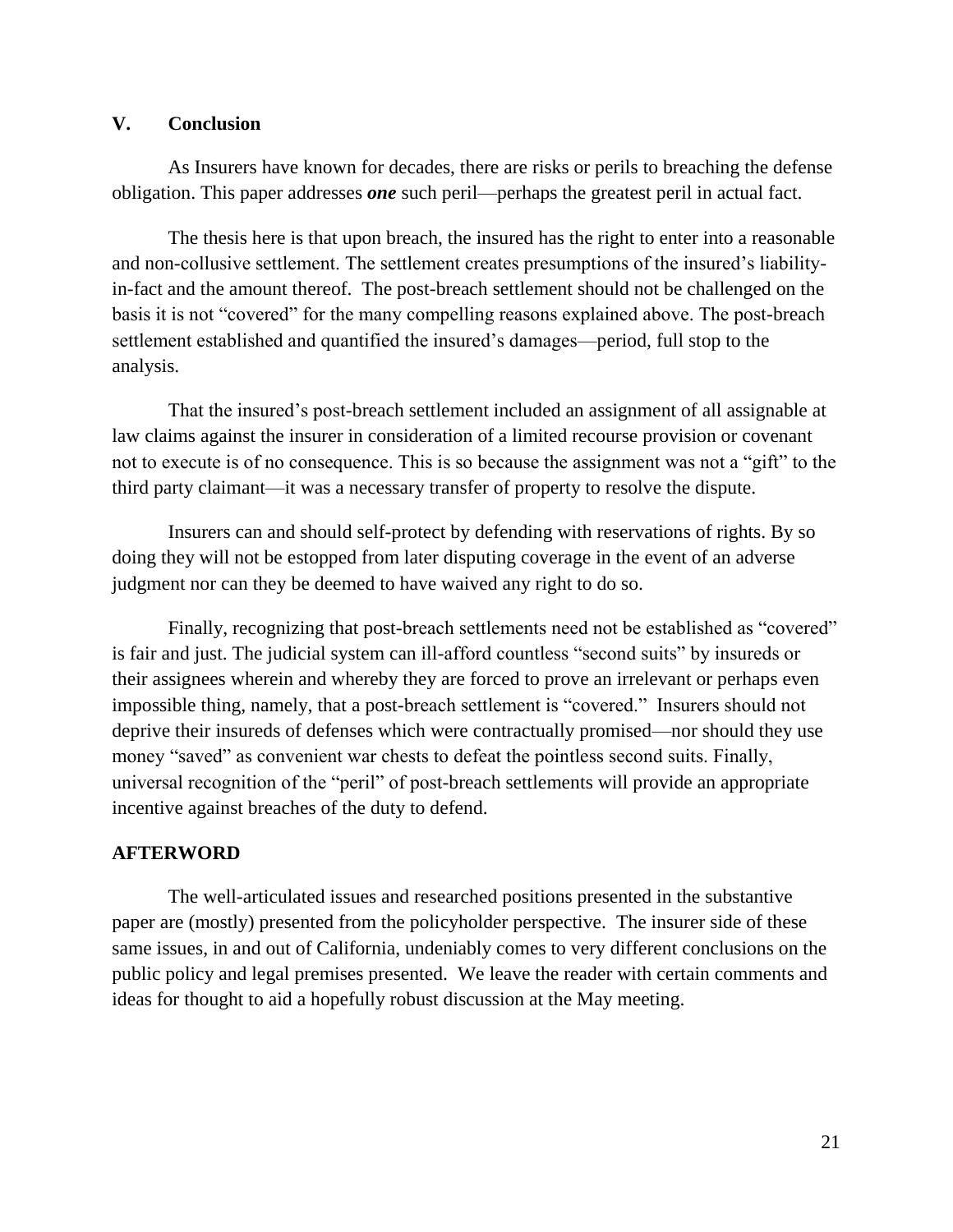#### **V. Conclusion**

As Insurers have known for decades, there are risks or perils to breaching the defense obligation. This paper addresses *one* such peril—perhaps the greatest peril in actual fact.

The thesis here is that upon breach, the insured has the right to enter into a reasonable and non-collusive settlement. The settlement creates presumptions of the insured's liabilityin-fact and the amount thereof. The post-breach settlement should not be challenged on the basis it is not "covered" for the many compelling reasons explained above. The post-breach settlement established and quantified the insured's damages—period, full stop to the analysis.

That the insured's post-breach settlement included an assignment of all assignable at law claims against the insurer in consideration of a limited recourse provision or covenant not to execute is of no consequence. This is so because the assignment was not a "gift" to the third party claimant—it was a necessary transfer of property to resolve the dispute.

Insurers can and should self-protect by defending with reservations of rights. By so doing they will not be estopped from later disputing coverage in the event of an adverse judgment nor can they be deemed to have waived any right to do so.

Finally, recognizing that post-breach settlements need not be established as "covered" is fair and just. The judicial system can ill-afford countless "second suits" by insureds or their assignees wherein and whereby they are forced to prove an irrelevant or perhaps even impossible thing, namely, that a post-breach settlement is "covered." Insurers should not deprive their insureds of defenses which were contractually promised—nor should they use money "saved" as convenient war chests to defeat the pointless second suits. Finally, universal recognition of the "peril" of post-breach settlements will provide an appropriate incentive against breaches of the duty to defend.

#### **AFTERWORD**

The well-articulated issues and researched positions presented in the substantive paper are (mostly) presented from the policyholder perspective. The insurer side of these same issues, in and out of California, undeniably comes to very different conclusions on the public policy and legal premises presented. We leave the reader with certain comments and ideas for thought to aid a hopefully robust discussion at the May meeting.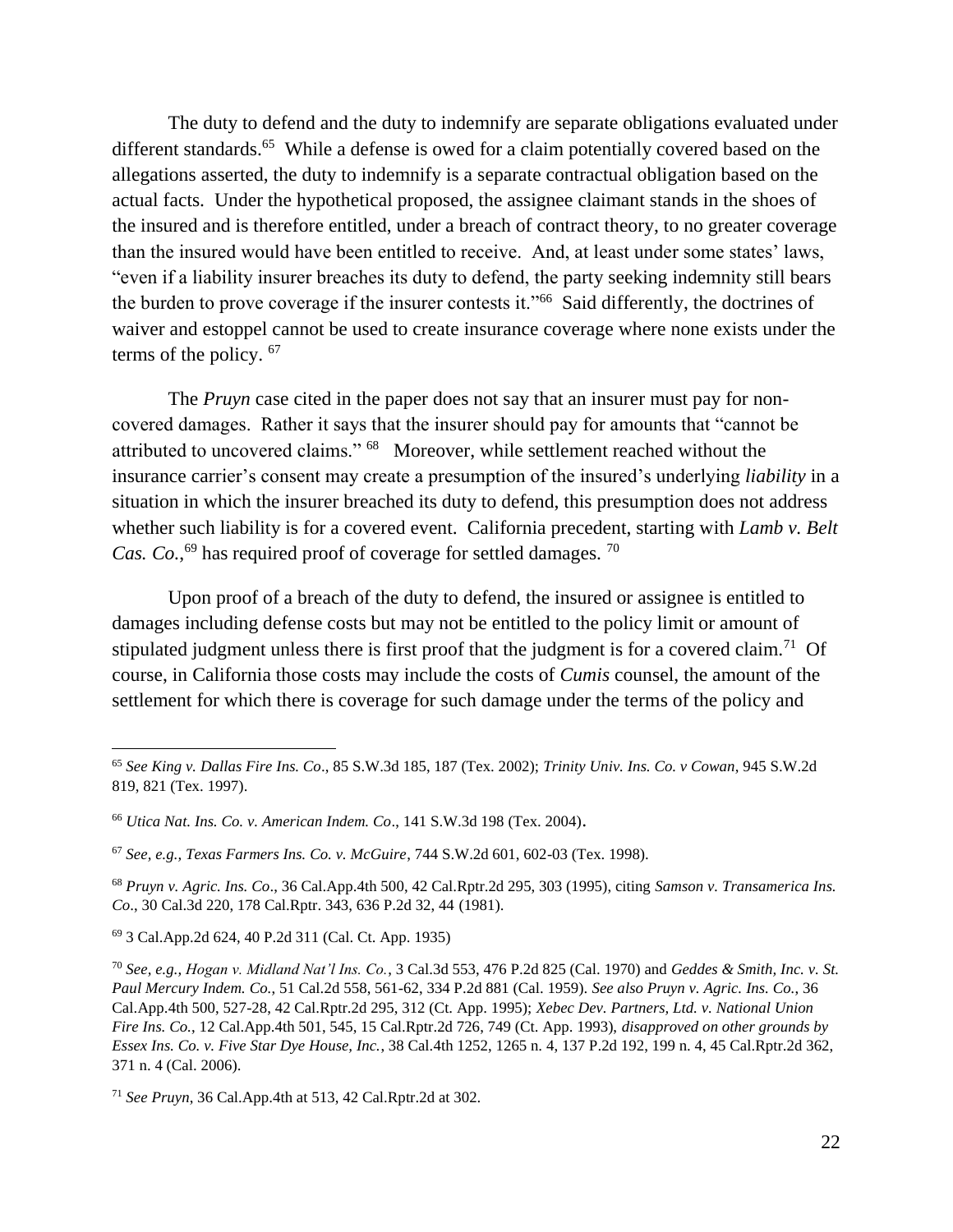The duty to defend and the duty to indemnify are separate obligations evaluated under different standards.<sup>65</sup> While a defense is owed for a claim potentially covered based on the allegations asserted, the duty to indemnify is a separate contractual obligation based on the actual facts. Under the hypothetical proposed, the assignee claimant stands in the shoes of the insured and is therefore entitled, under a breach of contract theory, to no greater coverage than the insured would have been entitled to receive. And, at least under some states' laws, "even if a liability insurer breaches its duty to defend, the party seeking indemnity still bears the burden to prove coverage if the insurer contests it."<sup>66</sup> Said differently, the doctrines of waiver and estoppel cannot be used to create insurance coverage where none exists under the terms of the policy. <sup>67</sup>

The *Pruyn* case cited in the paper does not say that an insurer must pay for noncovered damages. Rather it says that the insurer should pay for amounts that "cannot be attributed to uncovered claims." <sup>68</sup> Moreover, while settlement reached without the insurance carrier's consent may create a presumption of the insured's underlying *liability* in a situation in which the insurer breached its duty to defend, this presumption does not address whether such liability is for a covered event. California precedent, starting with *Lamb v. Belt*  Cas. Co.,<sup>69</sup> has required proof of coverage for settled damages.<sup>70</sup>

Upon proof of a breach of the duty to defend, the insured or assignee is entitled to damages including defense costs but may not be entitled to the policy limit or amount of stipulated judgment unless there is first proof that the judgment is for a covered claim.<sup>71</sup> Of course, in California those costs may include the costs of *Cumis* counsel, the amount of the settlement for which there is coverage for such damage under the terms of the policy and

<sup>65</sup> *See King v. Dallas Fire Ins. Co*., 85 S.W.3d 185, 187 (Tex. 2002); *Trinity Univ. Ins. Co. v Cowan*, 945 S.W.2d 819, 821 (Tex. 1997).

<sup>66</sup> *Utica Nat. Ins. Co. v. American Indem. Co*., 141 S.W.3d 198 (Tex. 2004).

<sup>67</sup> *See, e.g., Texas Farmers Ins. Co. v. McGuire*, 744 S.W.2d 601, 602-03 (Tex. 1998).

<sup>68</sup> *Pruyn v. Agric. Ins. Co*., 36 Cal.App.4th 500, 42 Cal.Rptr.2d 295, 303 (1995), citing *Samson v. Transamerica Ins. Co*., 30 Cal.3d 220, 178 Cal.Rptr. 343, 636 P.2d 32, 44 (1981).

<sup>69</sup> 3 Cal.App.2d 624, 40 P.2d 311 (Cal. Ct. App. 1935)

<sup>70</sup> *See, e.g., Hogan v. Midland Nat'l Ins. Co.*, 3 Cal.3d 553, 476 P.2d 825 (Cal. 1970) and *Geddes & Smith, Inc. v. St. Paul Mercury Indem. Co.*, 51 Cal.2d 558, 561-62, 334 P.2d 881 (Cal. 1959). *See also Pruyn v. Agric. Ins. Co.*, 36 Cal.App.4th 500, 527-28, 42 Cal.Rptr.2d 295, 312 (Ct. App. 1995); *Xebec Dev. Partners, Ltd. v. National Union Fire Ins. Co.*, 12 Cal.App.4th 501, 545, 15 Cal.Rptr.2d 726, 749 (Ct. App. 1993), *disapproved on other grounds by Essex Ins. Co. v. Five Star Dye House, Inc.*, 38 Cal.4th 1252, 1265 n. 4, 137 P.2d 192, 199 n. 4, 45 Cal.Rptr.2d 362, 371 n. 4 (Cal. 2006).

<sup>71</sup> *See Pruyn*, 36 Cal.App.4th at 513, 42 Cal.Rptr.2d at 302.